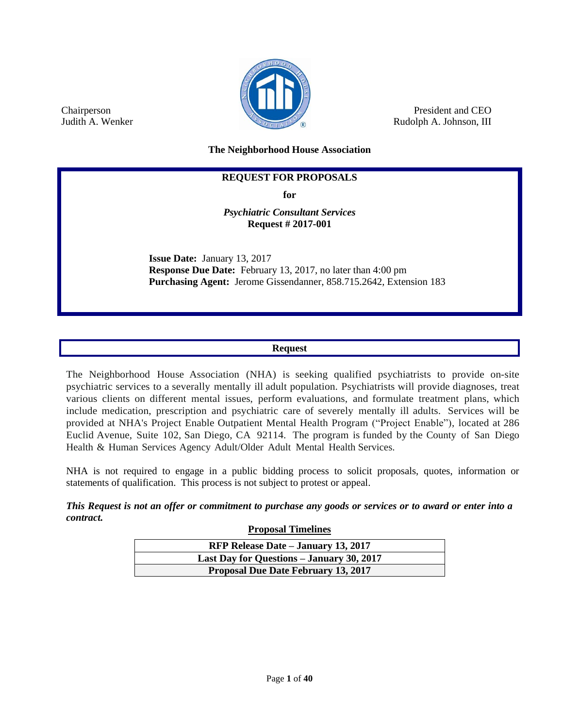

President and CEO Rudolph A. Johnson, III

**The Neighborhood House Association**

# **REQUEST FOR PROPOSALS**

**for**

*Psychiatric Consultant Services* **Request # 2017-001**

**Issue Date:** January 13, 2017 **Response Due Date:** February 13, 2017, no later than 4:00 pm **Purchasing Agent:** Jerome Gissendanner, 858.715.2642, Extension 183

# **Request**

The Neighborhood House Association (NHA) is seeking qualified psychiatrists to provide on-site psychiatric services to a severally mentally ill adult population. Psychiatrists will provide diagnoses, treat various clients on different mental issues, perform evaluations, and formulate treatment plans, which include medication, prescription and psychiatric care of severely mentally ill adults. Services will be provided at NHA's Project Enable Outpatient Mental Health Program ("Project Enable"), located at 286 Euclid Avenue, Suite 102, San Diego, CA 92114. The program is funded by the County of San Diego Health & Human Services Agency Adult/Older Adult Mental Health Services.

NHA is not required to engage in a public bidding process to solicit proposals, quotes, information or statements of qualification. This process is not subject to protest or appeal.

*This Request is not an offer or commitment to purchase any goods or services or to award or enter into a contract.*

**Proposal Timelines**

| RFP Release Date – January 13, 2017        |
|--------------------------------------------|
| Last Day for Questions - January 30, 2017  |
| <b>Proposal Due Date February 13, 2017</b> |

Chairperson Judith A. Wenker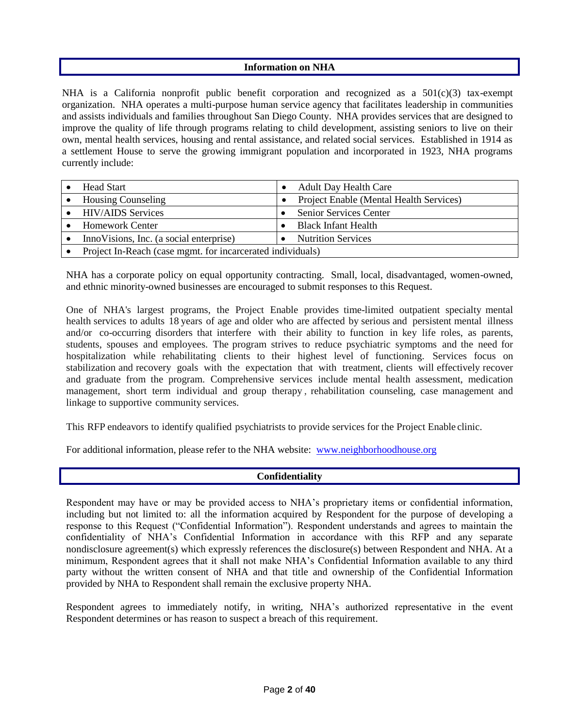### **Information on NHA**

NHA is a California nonprofit public benefit corporation and recognized as a  $501(c)(3)$  tax-exempt organization. NHA operates a multi-purpose human service agency that facilitates leadership in communities and assists individuals and families throughout San Diego County. NHA provides services that are designed to improve the quality of life through programs relating to child development, assisting seniors to live on their own, mental health services, housing and rental assistance, and related social services. Established in 1914 as a settlement House to serve the growing immigrant population and incorporated in 1923, NHA programs currently include:

| <b>Head Start</b>                                          |  | <b>Adult Day Health Care</b>            |
|------------------------------------------------------------|--|-----------------------------------------|
| <b>Housing Counseling</b>                                  |  | Project Enable (Mental Health Services) |
| <b>HIV/AIDS</b> Services                                   |  | Senior Services Center                  |
| <b>Homework Center</b>                                     |  | <b>Black Infant Health</b>              |
| Inno Visions, Inc. (a social enterprise)                   |  | <b>Nutrition Services</b>               |
| Project In-Reach (case mgmt. for incarcerated individuals) |  |                                         |

NHA has a corporate policy on equal opportunity contracting. Small, local, disadvantaged, women-owned, and ethnic minority-owned businesses are encouraged to submit responses to this Request.

One of NHA's largest programs, the Project Enable provides time-limited outpatient specialty mental health services to adults 18 years of age and older who are affected by serious and persistent mental illness and/or co-occurring disorders that interfere with their ability to function in key life roles, as parents, students, spouses and employees. The program strives to reduce psychiatric symptoms and the need for hospitalization while rehabilitating clients to their highest level of functioning. Services focus on stabilization and recovery goals with the expectation that with treatment, clients will effectively recover and graduate from the program. Comprehensive services include mental health assessment, medication management, short term individual and group therapy , rehabilitation counseling, case management and linkage to supportive community services.

This RFP endeavors to identify qualified psychiatrists to provide services for the Project Enable clinic.

For additional information, please refer to the NHA website: [www.neighborhoodhouse.org](http://www.neighborhoodhouse.org/)

# **Confidentiality**

Respondent may have or may be provided access to NHA's proprietary items or confidential information, including but not limited to: all the information acquired by Respondent for the purpose of developing a response to this Request ("Confidential Information"). Respondent understands and agrees to maintain the confidentiality of NHA's Confidential Information in accordance with this RFP and any separate nondisclosure agreement(s) which expressly references the disclosure(s) between Respondent and NHA. At a minimum, Respondent agrees that it shall not make NHA's Confidential Information available to any third party without the written consent of NHA and that title and ownership of the Confidential Information provided by NHA to Respondent shall remain the exclusive property NHA.

Respondent agrees to immediately notify, in writing, NHA's authorized representative in the event Respondent determines or has reason to suspect a breach of this requirement.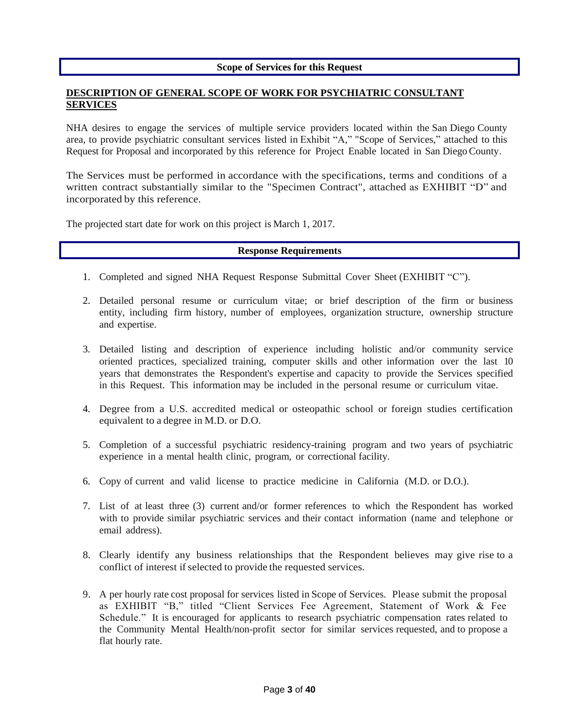### **Scope of Services for this Request**

## **DESCRIPTION OF GENERAL SCOPE OF WORK FOR PSYCHIATRIC CONSULTANT SERVICES**

NHA desires to engage the services of multiple service providers located within the San Diego County area, to provide psychiatric consultant services listed in Exhibit "A," "Scope of Services," attached to this Request for Proposal and incorporated by this reference for Project Enable located in San Diego County.

The Services must be performed in accordance with the specifications, terms and conditions of a written contract substantially similar to the "Specimen Contract", attached as EXHIBIT "D" and incorporated by this reference.

The projected start date for work on this project is March 1, 2017.

# **Response Requirements**

- 1. Completed and signed NHA Request Response Submittal Cover Sheet (EXHIBIT "C").
- 2. Detailed personal resume or curriculum vitae; or brief description of the firm or business entity, including firm history, number of employees, organization structure, ownership structure and expertise.
- 3. Detailed listing and description of experience including holistic and/or community service oriented practices, specialized training, computer skills and other information over the last 10 years that demonstrates the Respondent's expertise and capacity to provide the Services specified in this Request. This information may be included in the personal resume or curriculum vitae.
- 4. Degree from a U.S. accredited medical or osteopathic school or foreign studies certification equivalent to a degree in M.D. or D.O.
- 5. Completion of a successful psychiatric residency-training program and two years of psychiatric experience in a mental health clinic, program, or correctional facility.
- 6. Copy of current and valid license to practice medicine in California (M.D. or D.O.).
- 7. List of at least three (3) current and/or former references to which the Respondent has worked with to provide similar psychiatric services and their contact information (name and telephone or email address).
- 8. Clearly identify any business relationships that the Respondent believes may give rise to a conflict of interest if selected to provide the requested services.
- 9. A per hourly rate cost proposal for services listed in Scope of Services. Please submit the proposal as EXHIBIT "B," titled "Client Services Fee Agreement, Statement of Work & Fee Schedule." It is encouraged for applicants to research psychiatric compensation rates related to the Community Mental Health/non-profit sector for similar services requested, and to propose a flat hourly rate.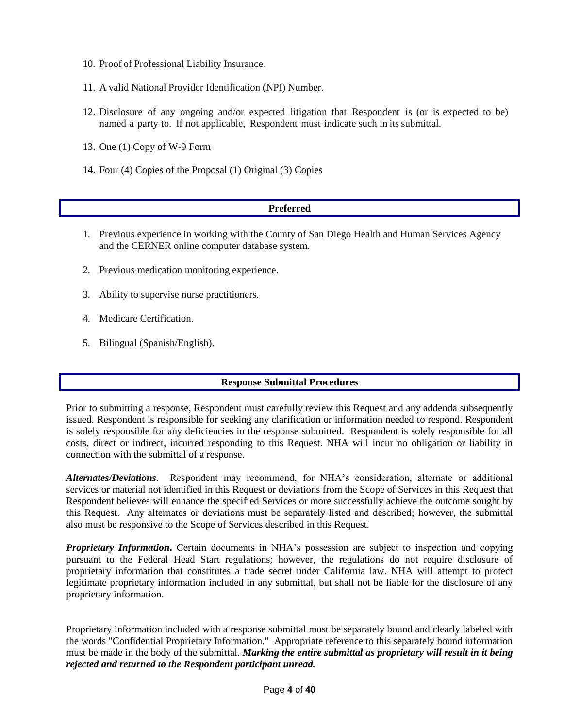- 10. Proof of Professional Liability Insurance.
- 11. A valid National Provider Identification (NPI) Number.
- 12. Disclosure of any ongoing and/or expected litigation that Respondent is (or is expected to be) named a party to. If not applicable, Respondent must indicate such in its submittal.
- 13. One (1) Copy of W-9 Form
- 14. Four (4) Copies of the Proposal (1) Original (3) Copies

# **Preferred**

- 1. Previous experience in working with the County of San Diego Health and Human Services Agency and the CERNER online computer database system.
- 2. Previous medication monitoring experience.
- 3. Ability to supervise nurse practitioners.
- 4. Medicare Certification.
- 5. Bilingual (Spanish/English).

# **Response Submittal Procedures**

Prior to submitting a response, Respondent must carefully review this Request and any addenda subsequently issued. Respondent is responsible for seeking any clarification or information needed to respond. Respondent is solely responsible for any deficiencies in the response submitted. Respondent is solely responsible for all costs, direct or indirect, incurred responding to this Request. NHA will incur no obligation or liability in connection with the submittal of a response.

*Alternates/Deviations***.** Respondent may recommend, for NHA's consideration, alternate or additional services or material not identified in this Request or deviations from the Scope of Services in this Request that Respondent believes will enhance the specified Services or more successfully achieve the outcome sought by this Request. Any alternates or deviations must be separately listed and described; however, the submittal also must be responsive to the Scope of Services described in this Request.

*Proprietary Information*. Certain documents in NHA's possession are subject to inspection and copying pursuant to the Federal Head Start regulations; however, the regulations do not require disclosure of proprietary information that constitutes a trade secret under California law. NHA will attempt to protect legitimate proprietary information included in any submittal, but shall not be liable for the disclosure of any proprietary information.

Proprietary information included with a response submittal must be separately bound and clearly labeled with the words "Confidential Proprietary Information." Appropriate reference to this separately bound information must be made in the body of the submittal. *Marking the entire submittal as proprietary will result in it being rejected and returned to the Respondent participant unread.*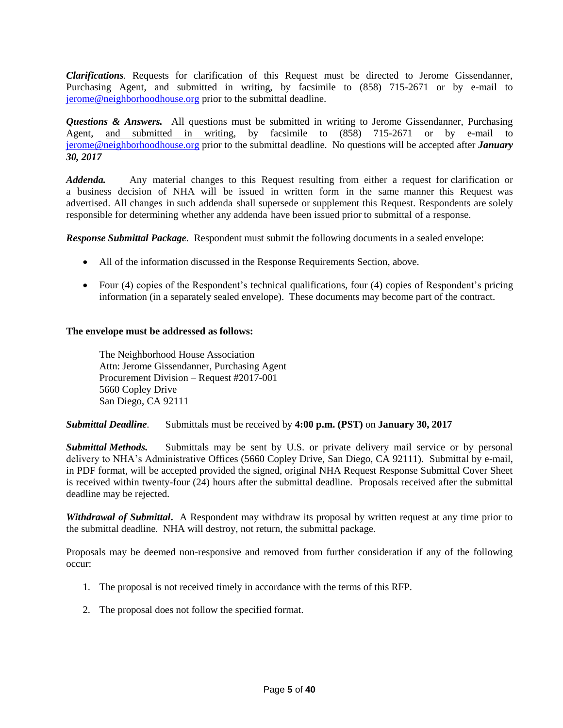*Clarifications.* Requests for clarification of this Request must be directed to Jerome Gissendanner, Purchasing Agent, and submitted in writing, by facsimile to (858) 715-2671 or by e-mail to [jerome@neighborhoodhouse.org](mailto:jerome@neighborhoodhouse.org) prior to the submittal deadline.

*Questions & Answers.* All questions must be submitted in writing to Jerome Gissendanner, Purchasing Agent, and submitted in writing, by facsimile to (858) 715-2671 or by e-mail to [jerome@neighborhoodhouse.org](mailto:jerome@neighborhoodhouse.org) prior to the submittal deadline. No questions will be accepted after *January 30, 2017*

*Addenda.* Any material changes to this Request resulting from either a request for clarification or a business decision of NHA will be issued in written form in the same manner this Request was advertised. All changes in such addenda shall supersede or supplement this Request. Respondents are solely responsible for determining whether any addenda have been issued prior to submittal of a response.

*Response Submittal Package.* Respondent must submit the following documents in a sealed envelope:

- All of the information discussed in the Response Requirements Section, above.
- Four (4) copies of the Respondent's technical qualifications, four (4) copies of Respondent's pricing information (in a separately sealed envelope). These documents may become part of the contract.

### **The envelope must be addressed as follows:**

The Neighborhood House Association Attn: Jerome Gissendanner, Purchasing Agent Procurement Division – Request #2017-001 5660 Copley Drive San Diego, CA 92111

### *Submittal Deadline.* Submittals must be received by **4:00 p.m. (PST)** on **January 30, 2017**

*Submittal Methods.* Submittals may be sent by U.S. or private delivery mail service or by personal delivery to NHA's Administrative Offices (5660 Copley Drive, San Diego, CA 92111). Submittal by e-mail, in PDF format, will be accepted provided the signed, original NHA Request Response Submittal Cover Sheet is received within twenty-four (24) hours after the submittal deadline. Proposals received after the submittal deadline may be rejected.

*Withdrawal of Submittal***.** A Respondent may withdraw its proposal by written request at any time prior to the submittal deadline. NHA will destroy, not return, the submittal package.

Proposals may be deemed non-responsive and removed from further consideration if any of the following occur:

- 1. The proposal is not received timely in accordance with the terms of this RFP.
- 2. The proposal does not follow the specified format.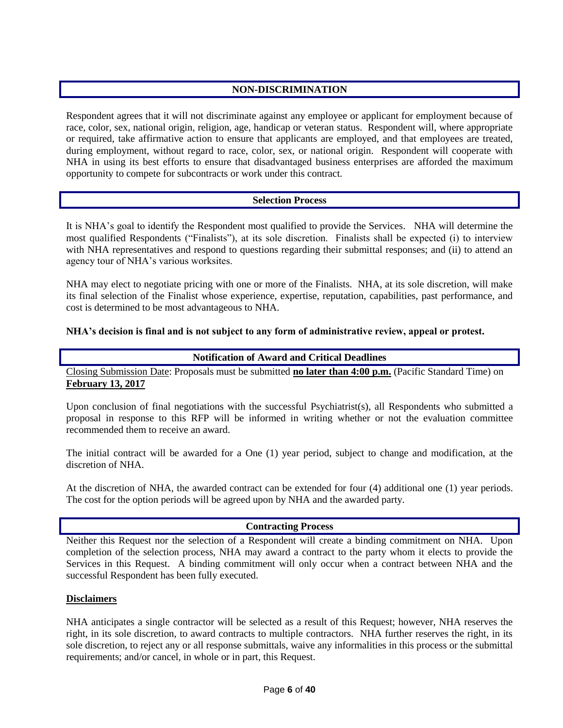# **NON-DISCRIMINATION**

Respondent agrees that it will not discriminate against any employee or applicant for employment because of race, color, sex, national origin, religion, age, handicap or veteran status. Respondent will, where appropriate or required, take affirmative action to ensure that applicants are employed, and that employees are treated, during employment, without regard to race, color, sex, or national origin. Respondent will cooperate with NHA in using its best efforts to ensure that disadvantaged business enterprises are afforded the maximum opportunity to compete for subcontracts or work under this contract.

# **Selection Process**

It is NHA's goal to identify the Respondent most qualified to provide the Services. NHA will determine the most qualified Respondents ("Finalists"), at its sole discretion. Finalists shall be expected (i) to interview with NHA representatives and respond to questions regarding their submittal responses; and (ii) to attend an agency tour of NHA's various worksites.

NHA may elect to negotiate pricing with one or more of the Finalists. NHA, at its sole discretion, will make its final selection of the Finalist whose experience, expertise, reputation, capabilities, past performance, and cost is determined to be most advantageous to NHA.

# **NHA's decision is final and is not subject to any form of administrative review, appeal or protest.**

# **Notification of Award and Critical Deadlines**

Closing Submission Date: Proposals must be submitted **no later than 4:00 p.m.** (Pacific Standard Time) on **February 13, 2017**

Upon conclusion of final negotiations with the successful Psychiatrist(s), all Respondents who submitted a proposal in response to this RFP will be informed in writing whether or not the evaluation committee recommended them to receive an award.

The initial contract will be awarded for a One (1) year period, subject to change and modification, at the discretion of NHA.

At the discretion of NHA*,* the awarded contract can be extended for four (4) additional one (1) year periods. The cost for the option periods will be agreed upon by NHA and the awarded party.

# **Contracting Process**

Neither this Request nor the selection of a Respondent will create a binding commitment on NHA. Upon completion of the selection process, NHA may award a contract to the party whom it elects to provide the Services in this Request. A binding commitment will only occur when a contract between NHA and the successful Respondent has been fully executed.

# **Disclaimers**

NHA anticipates a single contractor will be selected as a result of this Request; however, NHA reserves the right, in its sole discretion, to award contracts to multiple contractors. NHA further reserves the right, in its sole discretion, to reject any or all response submittals, waive any informalities in this process or the submittal requirements; and/or cancel, in whole or in part, this Request.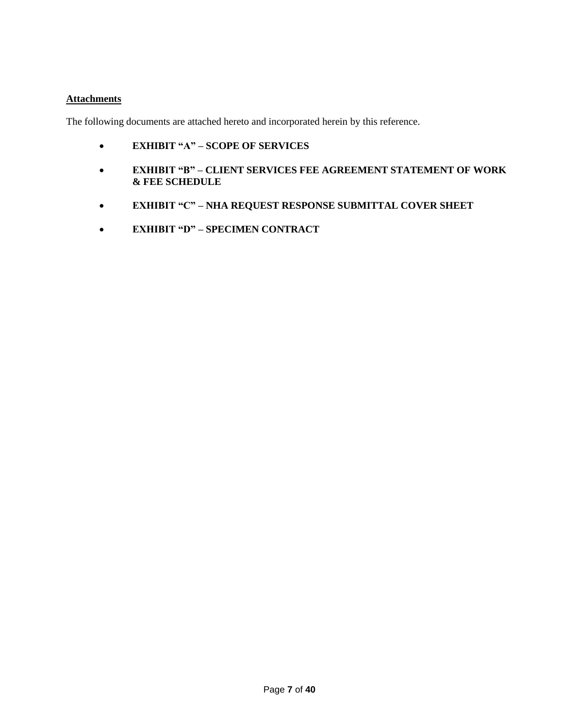# **Attachments**

The following documents are attached hereto and incorporated herein by this reference.

- **EXHIBIT "A" – SCOPE OF SERVICES**
- **EXHIBIT "B" – CLIENT SERVICES FEE AGREEMENT STATEMENT OF WORK & FEE SCHEDULE**
- **EXHIBIT "C" – NHA REQUEST RESPONSE SUBMITTAL COVER SHEET**
- **EXHIBIT "D" – SPECIMEN CONTRACT**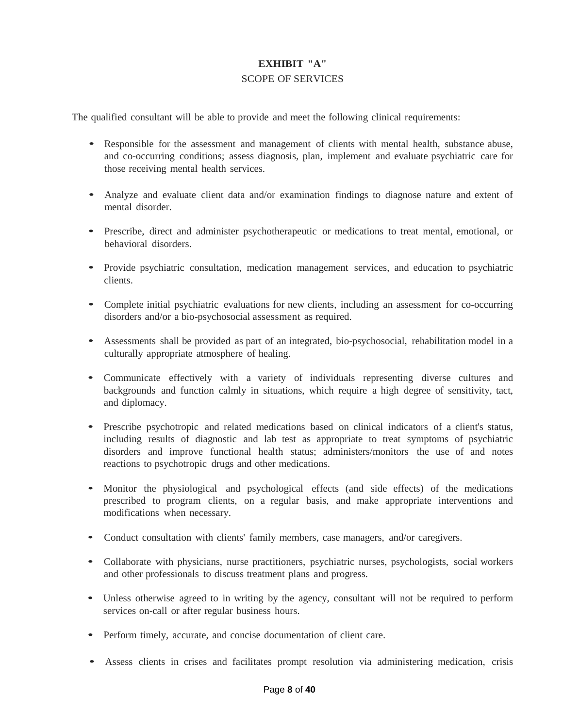# **EXHIBIT "A"** SCOPE OF SERVICES

The qualified consultant will be able to provide and meet the following clinical requirements:

- Responsible for the assessment and management of clients with mental health, substance abuse, and co-occurring conditions; assess diagnosis, plan, implement and evaluate psychiatric care for those receiving mental health services.
- Analyze and evaluate client data and/or examination findings to diagnose nature and extent of mental disorder.
- Prescribe, direct and administer psychotherapeutic or medications to treat mental, emotional, or behavioral disorders.
- Provide psychiatric consultation, medication management services, and education to psychiatric clients.
- Complete initial psychiatric evaluations for new clients, including an assessment for co-occurring disorders and/or a bio-psychosocial assessment as required.
- Assessments shall be provided as part of an integrated, bio-psychosocial, rehabilitation model in <sup>a</sup> culturally appropriate atmosphere of healing.
- Communicate effectively with <sup>a</sup> variety of individuals representing diverse cultures and backgrounds and function calmly in situations, which require a high degree of sensitivity, tact, and diplomacy.
- Prescribe psychotropic and related medications based on clinical indicators of <sup>a</sup> client's status, including results of diagnostic and lab test as appropriate to treat symptoms of psychiatric disorders and improve functional health status; administers/monitors the use of and notes reactions to psychotropic drugs and other medications.
- Monitor the physiological and psychological effects (and side effects) of the medications prescribed to program clients, on a regular basis, and make appropriate interventions and modifications when necessary.
- Conduct consultation with clients' family members, case managers, and/or caregivers.
- Collaborate with physicians, nurse practitioners, psychiatric nurses, psychologists, social workers and other professionals to discuss treatment plans and progress.
- Unless otherwise agreed to in writing by the agency, consultant will not be required to perform services on-call or after regular business hours.
- Perform timely, accurate, and concise documentation of client care.
- Assess clients in crises and facilitates prompt resolution via administering medication, crisis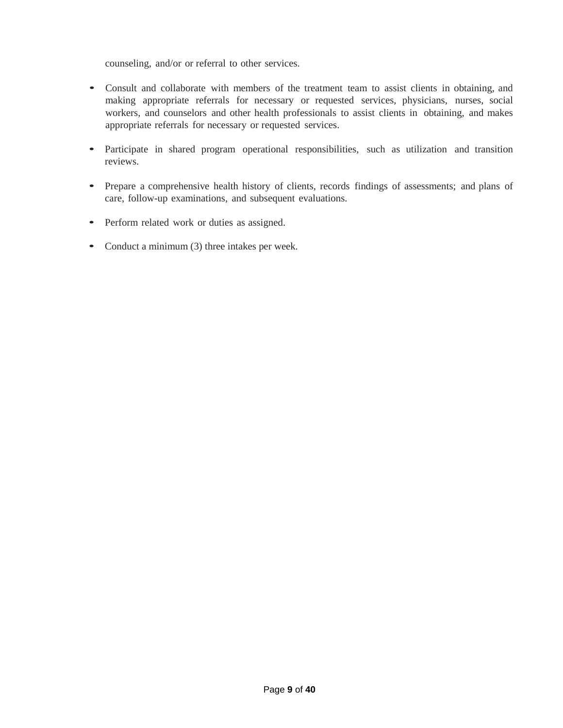counseling, and/or or referral to other services.

- Consult and collaborate with members of the treatment team to assist clients in obtaining, and making appropriate referrals for necessary or requested services, physicians, nurses, social workers, and counselors and other health professionals to assist clients in obtaining, and makes appropriate referrals for necessary or requested services.
- Participate in shared program operational responsibilities, such as utilization and transition reviews.
- Prepare <sup>a</sup> comprehensive health history of clients, records findings of assessments; and plans of care, follow-up examinations, and subsequent evaluations.
- Perform related work or duties as assigned.
- Conduct a minimum (3) three intakes per week.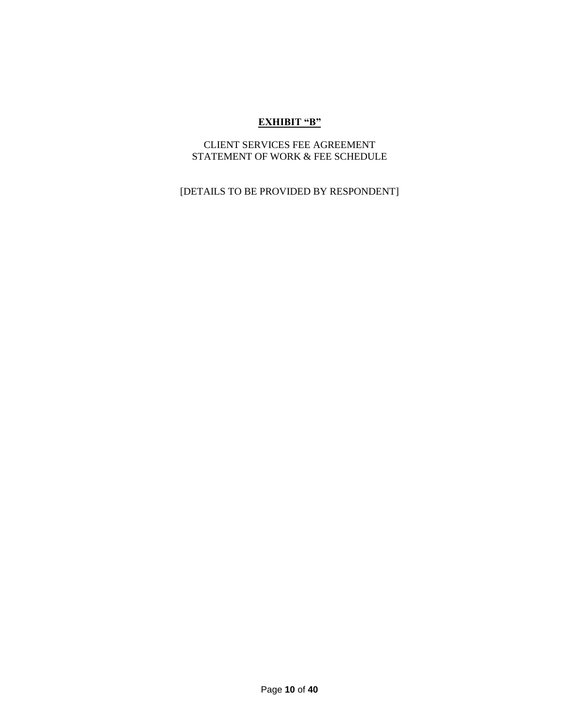# **EXHIBIT "B"**

# CLIENT SERVICES FEE AGREEMENT STATEMENT OF WORK & FEE SCHEDULE

[DETAILS TO BE PROVIDED BY RESPONDENT]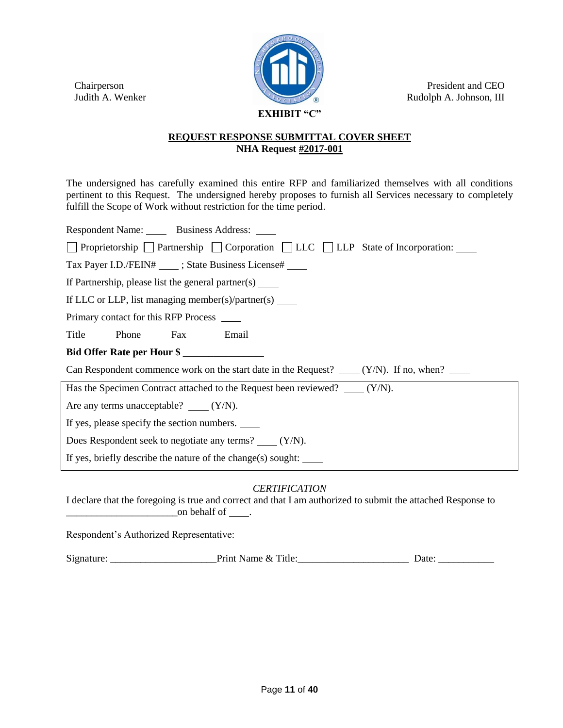Chairperson Judith A. Wenker



President and CEO Rudolph A. Johnson, III

# **REQUEST RESPONSE SUBMITTAL COVER SHEET NHA Request #2017-001**

The undersigned has carefully examined this entire RFP and familiarized themselves with all conditions pertinent to this Request. The undersigned hereby proposes to furnish all Services necessary to completely fulfill the Scope of Work without restriction for the time period.

| Respondent Name: Business Address: _____                                                                  |  |  |  |  |  |
|-----------------------------------------------------------------------------------------------------------|--|--|--|--|--|
| $\Box$ Proprietorship $\Box$ Partnership $\Box$ Corporation $\Box$ LLC $\Box$ LLP State of Incorporation: |  |  |  |  |  |
| Tax Payer I.D./FEIN# _____; State Business License# _____                                                 |  |  |  |  |  |
| If Partnership, please list the general partner(s) ______                                                 |  |  |  |  |  |
| If LLC or LLP, list managing member(s)/partner(s) $\qquad$                                                |  |  |  |  |  |
| Primary contact for this RFP Process _______                                                              |  |  |  |  |  |
| Title Phone Fax Email                                                                                     |  |  |  |  |  |
| Bid Offer Rate per Hour \$                                                                                |  |  |  |  |  |
| Can Respondent commence work on the start date in the Request? $\qquad (Y/N)$ . If no, when?              |  |  |  |  |  |
| Has the Specimen Contract attached to the Request been reviewed? (Y/N).                                   |  |  |  |  |  |
| Are any terms unacceptable? $\qquad (Y/N)$ .                                                              |  |  |  |  |  |
| If yes, please specify the section numbers.                                                               |  |  |  |  |  |
| Does Respondent seek to negotiate any terms? $(Y/N)$ .                                                    |  |  |  |  |  |
| If yes, briefly describe the nature of the change(s) sought:                                              |  |  |  |  |  |

# *CERTIFICATION*

I declare that the foregoing is true and correct and that I am authorized to submit the attached Response to  $\frac{1}{\sqrt{1-\frac{1}{2}}}\$  on behalf of  $\frac{1}{\sqrt{1-\frac{1}{2}}}\$ .

Respondent's Authorized Representative:

Signature: \_\_\_\_\_\_\_\_\_\_\_\_\_\_\_\_\_\_\_\_\_Print Name & Title:\_\_\_\_\_\_\_\_\_\_\_\_\_\_\_\_\_\_\_\_\_\_ Date: \_\_\_\_\_\_\_\_\_\_\_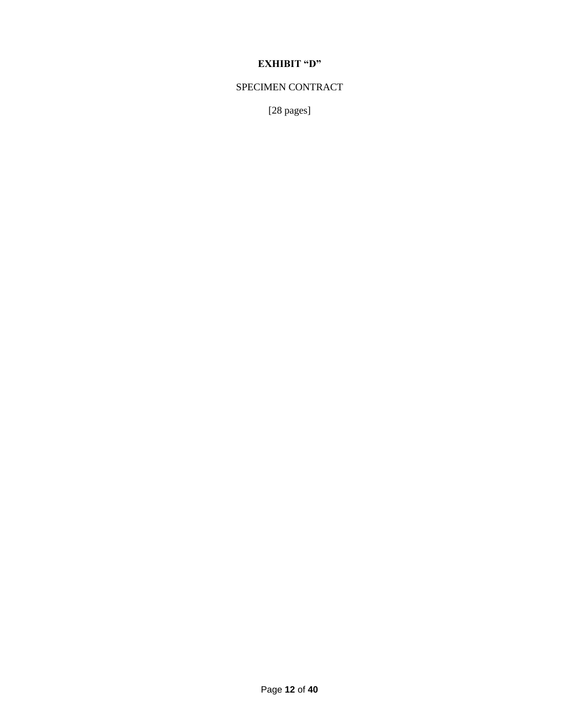# **EXHIBIT "D"**

# SPECIMEN CONTRACT

[28 pages]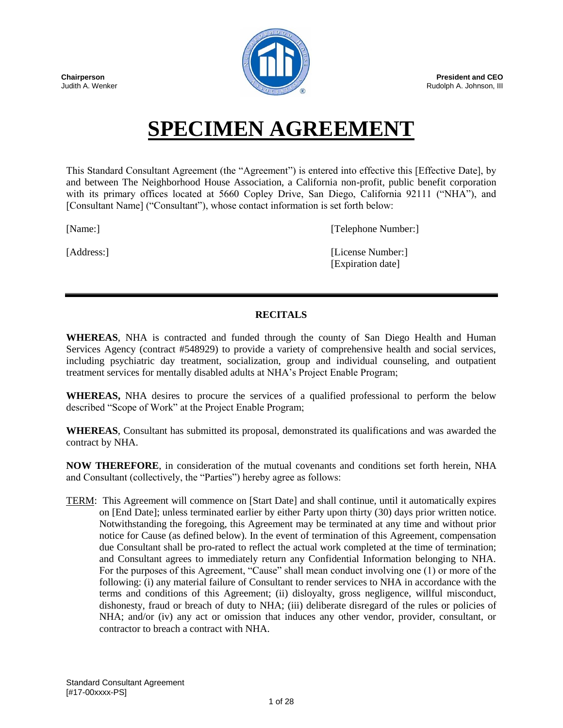



**President and CEO** Rudolph A. Johnson, III

# **SPECIMEN AGREEMENT**

This Standard Consultant Agreement (the "Agreement") is entered into effective this [Effective Date], by and between The Neighborhood House Association, a California non-profit, public benefit corporation with its primary offices located at 5660 Copley Drive, San Diego, California 92111 ("NHA"), and [Consultant Name] ("Consultant"), whose contact information is set forth below:

[Name:] [Telephone Number:]

[Address:] [[License Number:] [Expiration date]

# **RECITALS**

**WHEREAS**, NHA is contracted and funded through the county of San Diego Health and Human Services Agency (contract #548929) to provide a variety of comprehensive health and social services, including psychiatric day treatment, socialization, group and individual counseling, and outpatient treatment services for mentally disabled adults at NHA's Project Enable Program;

**WHEREAS,** NHA desires to procure the services of a qualified professional to perform the below described "Scope of Work" at the Project Enable Program;

**WHEREAS**, Consultant has submitted its proposal, demonstrated its qualifications and was awarded the contract by NHA.

**NOW THEREFORE**, in consideration of the mutual covenants and conditions set forth herein, NHA and Consultant (collectively, the "Parties") hereby agree as follows:

TERM: This Agreement will commence on [Start Date] and shall continue, until it automatically expires on [End Date]; unless terminated earlier by either Party upon thirty (30) days prior written notice. Notwithstanding the foregoing, this Agreement may be terminated at any time and without prior notice for Cause (as defined below). In the event of termination of this Agreement, compensation due Consultant shall be pro-rated to reflect the actual work completed at the time of termination; and Consultant agrees to immediately return any Confidential Information belonging to NHA. For the purposes of this Agreement, "Cause" shall mean conduct involving one (1) or more of the following: (i) any material failure of Consultant to render services to NHA in accordance with the terms and conditions of this Agreement; (ii) disloyalty, gross negligence, willful misconduct, dishonesty, fraud or breach of duty to NHA; (iii) deliberate disregard of the rules or policies of NHA; and/or (iv) any act or omission that induces any other vendor, provider, consultant, or contractor to breach a contract with NHA.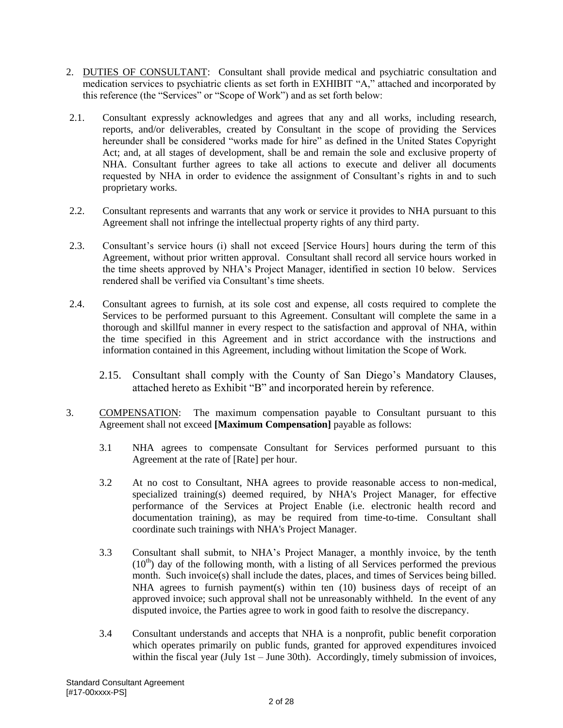- 2. DUTIES OF CONSULTANT: Consultant shall provide medical and psychiatric consultation and medication services to psychiatric clients as set forth in EXHIBIT "A," attached and incorporated by this reference (the "Services" or "Scope of Work") and as set forth below:
- 2.1. Consultant expressly acknowledges and agrees that any and all works, including research, reports, and/or deliverables, created by Consultant in the scope of providing the Services hereunder shall be considered "works made for hire" as defined in the United States Copyright Act; and, at all stages of development, shall be and remain the sole and exclusive property of NHA. Consultant further agrees to take all actions to execute and deliver all documents requested by NHA in order to evidence the assignment of Consultant's rights in and to such proprietary works.
- 2.2. Consultant represents and warrants that any work or service it provides to NHA pursuant to this Agreement shall not infringe the intellectual property rights of any third party.
- 2.3. Consultant's service hours (i) shall not exceed [Service Hours] hours during the term of this Agreement, without prior written approval. Consultant shall record all service hours worked in the time sheets approved by NHA's Project Manager, identified in section 10 below. Services rendered shall be verified via Consultant's time sheets.
- 2.4. Consultant agrees to furnish, at its sole cost and expense, all costs required to complete the Services to be performed pursuant to this Agreement. Consultant will complete the same in a thorough and skillful manner in every respect to the satisfaction and approval of NHA, within the time specified in this Agreement and in strict accordance with the instructions and information contained in this Agreement, including without limitation the Scope of Work.
	- 2.15. Consultant shall comply with the County of San Diego's Mandatory Clauses, attached hereto as Exhibit "B" and incorporated herein by reference.
- 3. COMPENSATION: The maximum compensation payable to Consultant pursuant to this Agreement shall not exceed **[Maximum Compensation]** payable as follows:
	- 3.1 NHA agrees to compensate Consultant for Services performed pursuant to this Agreement at the rate of [Rate] per hour.
	- 3.2 At no cost to Consultant, NHA agrees to provide reasonable access to non-medical, specialized training(s) deemed required, by NHA's Project Manager, for effective performance of the Services at Project Enable (i.e. electronic health record and documentation training), as may be required from time-to-time. Consultant shall coordinate such trainings with NHA's Project Manager.
	- 3.3 Consultant shall submit, to NHA's Project Manager, a monthly invoice, by the tenth  $(10<sup>th</sup>)$  day of the following month, with a listing of all Services performed the previous month. Such invoice(s) shall include the dates, places, and times of Services being billed. NHA agrees to furnish payment(s) within ten (10) business days of receipt of an approved invoice; such approval shall not be unreasonably withheld. In the event of any disputed invoice, the Parties agree to work in good faith to resolve the discrepancy.
	- 3.4 Consultant understands and accepts that NHA is a nonprofit, public benefit corporation which operates primarily on public funds, granted for approved expenditures invoiced within the fiscal year (July 1st – June 30th). Accordingly, timely submission of invoices,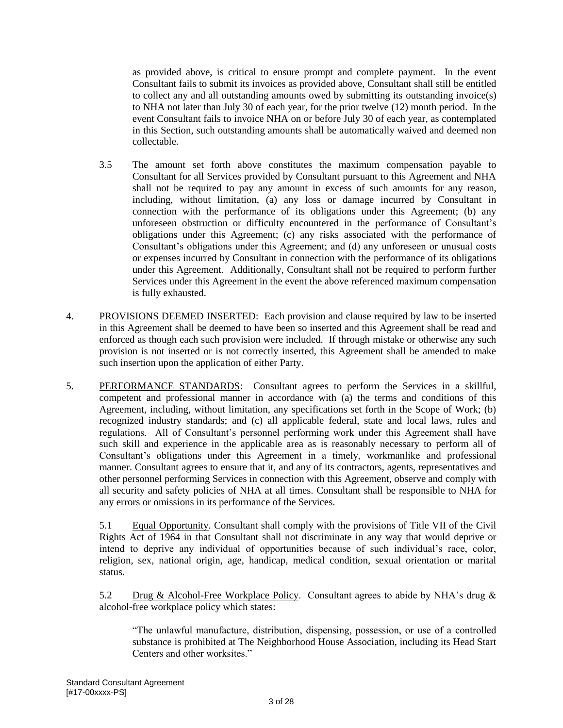as provided above, is critical to ensure prompt and complete payment. In the event Consultant fails to submit its invoices as provided above, Consultant shall still be entitled to collect any and all outstanding amounts owed by submitting its outstanding invoice(s) to NHA not later than July 30 of each year, for the prior twelve (12) month period. In the event Consultant fails to invoice NHA on or before July 30 of each year, as contemplated in this Section, such outstanding amounts shall be automatically waived and deemed non collectable.

- 3.5 The amount set forth above constitutes the maximum compensation payable to Consultant for all Services provided by Consultant pursuant to this Agreement and NHA shall not be required to pay any amount in excess of such amounts for any reason, including, without limitation, (a) any loss or damage incurred by Consultant in connection with the performance of its obligations under this Agreement; (b) any unforeseen obstruction or difficulty encountered in the performance of Consultant's obligations under this Agreement; (c) any risks associated with the performance of Consultant's obligations under this Agreement; and (d) any unforeseen or unusual costs or expenses incurred by Consultant in connection with the performance of its obligations under this Agreement. Additionally, Consultant shall not be required to perform further Services under this Agreement in the event the above referenced maximum compensation is fully exhausted.
- 4. PROVISIONS DEEMED INSERTED: Each provision and clause required by law to be inserted in this Agreement shall be deemed to have been so inserted and this Agreement shall be read and enforced as though each such provision were included. If through mistake or otherwise any such provision is not inserted or is not correctly inserted, this Agreement shall be amended to make such insertion upon the application of either Party.
- 5. PERFORMANCE STANDARDS: Consultant agrees to perform the Services in a skillful, competent and professional manner in accordance with (a) the terms and conditions of this Agreement, including, without limitation, any specifications set forth in the Scope of Work; (b) recognized industry standards; and (c) all applicable federal, state and local laws, rules and regulations. All of Consultant's personnel performing work under this Agreement shall have such skill and experience in the applicable area as is reasonably necessary to perform all of Consultant's obligations under this Agreement in a timely, workmanlike and professional manner. Consultant agrees to ensure that it, and any of its contractors, agents, representatives and other personnel performing Services in connection with this Agreement, observe and comply with all security and safety policies of NHA at all times. Consultant shall be responsible to NHA for any errors or omissions in its performance of the Services.

5.1 Equal Opportunity. Consultant shall comply with the provisions of Title VII of the Civil Rights Act of 1964 in that Consultant shall not discriminate in any way that would deprive or intend to deprive any individual of opportunities because of such individual's race, color, religion, sex, national origin, age, handicap, medical condition, sexual orientation or marital status.

5.2 Drug & Alcohol-Free Workplace Policy. Consultant agrees to abide by NHA's drug & alcohol-free workplace policy which states:

"The unlawful manufacture, distribution, dispensing, possession, or use of a controlled substance is prohibited at The Neighborhood House Association, including its Head Start Centers and other worksites."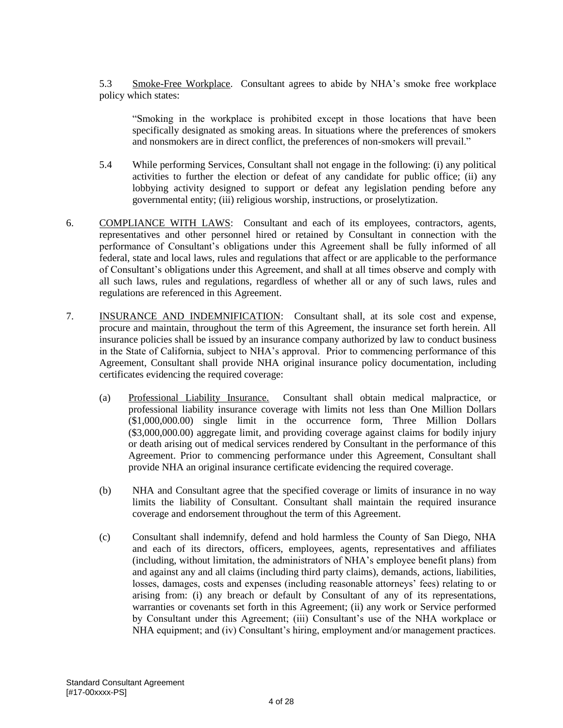5.3 Smoke-Free Workplace. Consultant agrees to abide by NHA's smoke free workplace policy which states:

"Smoking in the workplace is prohibited except in those locations that have been specifically designated as smoking areas. In situations where the preferences of smokers and nonsmokers are in direct conflict, the preferences of non-smokers will prevail."

- 5.4 While performing Services, Consultant shall not engage in the following: (i) any political activities to further the election or defeat of any candidate for public office; (ii) any lobbying activity designed to support or defeat any legislation pending before any governmental entity; (iii) religious worship, instructions, or proselytization.
- 6. COMPLIANCE WITH LAWS: Consultant and each of its employees, contractors, agents, representatives and other personnel hired or retained by Consultant in connection with the performance of Consultant's obligations under this Agreement shall be fully informed of all federal, state and local laws, rules and regulations that affect or are applicable to the performance of Consultant's obligations under this Agreement, and shall at all times observe and comply with all such laws, rules and regulations, regardless of whether all or any of such laws, rules and regulations are referenced in this Agreement.
- 7. INSURANCE AND INDEMNIFICATION: Consultant shall, at its sole cost and expense, procure and maintain, throughout the term of this Agreement, the insurance set forth herein. All insurance policies shall be issued by an insurance company authorized by law to conduct business in the State of California, subject to NHA's approval. Prior to commencing performance of this Agreement, Consultant shall provide NHA original insurance policy documentation, including certificates evidencing the required coverage:
	- (a) Professional Liability Insurance. Consultant shall obtain medical malpractice, or professional liability insurance coverage with limits not less than One Million Dollars (\$1,000,000.00) single limit in the occurrence form, Three Million Dollars (\$3,000,000.00) aggregate limit, and providing coverage against claims for bodily injury or death arising out of medical services rendered by Consultant in the performance of this Agreement. Prior to commencing performance under this Agreement, Consultant shall provide NHA an original insurance certificate evidencing the required coverage.
	- (b) NHA and Consultant agree that the specified coverage or limits of insurance in no way limits the liability of Consultant. Consultant shall maintain the required insurance coverage and endorsement throughout the term of this Agreement.
	- (c) Consultant shall indemnify, defend and hold harmless the County of San Diego, NHA and each of its directors, officers, employees, agents, representatives and affiliates (including, without limitation, the administrators of NHA's employee benefit plans) from and against any and all claims (including third party claims), demands, actions, liabilities, losses, damages, costs and expenses (including reasonable attorneys' fees) relating to or arising from: (i) any breach or default by Consultant of any of its representations, warranties or covenants set forth in this Agreement; (ii) any work or Service performed by Consultant under this Agreement; (iii) Consultant's use of the NHA workplace or NHA equipment; and (iv) Consultant's hiring, employment and/or management practices.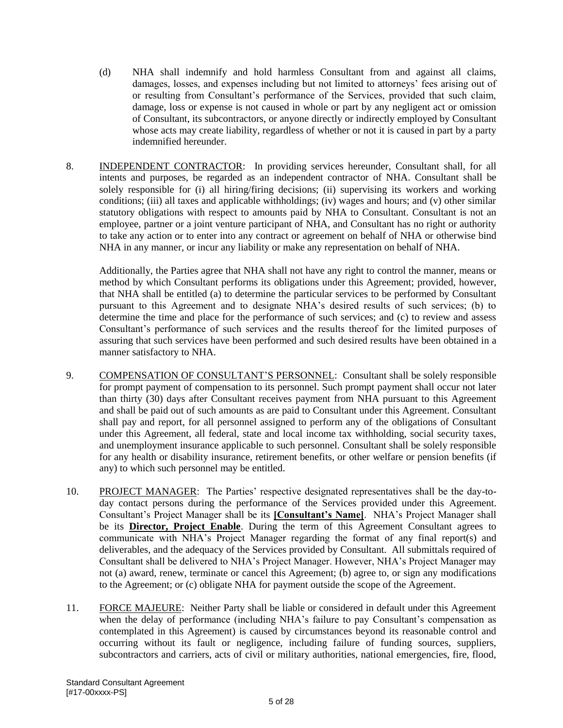- (d) NHA shall indemnify and hold harmless Consultant from and against all claims, damages, losses, and expenses including but not limited to attorneys' fees arising out of or resulting from Consultant's performance of the Services, provided that such claim, damage, loss or expense is not caused in whole or part by any negligent act or omission of Consultant, its subcontractors, or anyone directly or indirectly employed by Consultant whose acts may create liability, regardless of whether or not it is caused in part by a party indemnified hereunder.
- 8. INDEPENDENT CONTRACTOR: In providing services hereunder, Consultant shall, for all intents and purposes, be regarded as an independent contractor of NHA. Consultant shall be solely responsible for (i) all hiring/firing decisions; (ii) supervising its workers and working conditions; (iii) all taxes and applicable withholdings; (iv) wages and hours; and (v) other similar statutory obligations with respect to amounts paid by NHA to Consultant. Consultant is not an employee, partner or a joint venture participant of NHA, and Consultant has no right or authority to take any action or to enter into any contract or agreement on behalf of NHA or otherwise bind NHA in any manner, or incur any liability or make any representation on behalf of NHA.

Additionally, the Parties agree that NHA shall not have any right to control the manner, means or method by which Consultant performs its obligations under this Agreement; provided, however, that NHA shall be entitled (a) to determine the particular services to be performed by Consultant pursuant to this Agreement and to designate NHA's desired results of such services; (b) to determine the time and place for the performance of such services; and (c) to review and assess Consultant's performance of such services and the results thereof for the limited purposes of assuring that such services have been performed and such desired results have been obtained in a manner satisfactory to NHA.

- 9. COMPENSATION OF CONSULTANT'S PERSONNEL: Consultant shall be solely responsible for prompt payment of compensation to its personnel. Such prompt payment shall occur not later than thirty (30) days after Consultant receives payment from NHA pursuant to this Agreement and shall be paid out of such amounts as are paid to Consultant under this Agreement. Consultant shall pay and report, for all personnel assigned to perform any of the obligations of Consultant under this Agreement, all federal, state and local income tax withholding, social security taxes, and unemployment insurance applicable to such personnel. Consultant shall be solely responsible for any health or disability insurance, retirement benefits, or other welfare or pension benefits (if any) to which such personnel may be entitled.
- 10. PROJECT MANAGER: The Parties' respective designated representatives shall be the day-today contact persons during the performance of the Services provided under this Agreement. Consultant's Project Manager shall be its **[Consultant's Name]**. NHA's Project Manager shall be its **Director, Project Enable**. During the term of this Agreement Consultant agrees to communicate with NHA's Project Manager regarding the format of any final report(s) and deliverables, and the adequacy of the Services provided by Consultant. All submittals required of Consultant shall be delivered to NHA's Project Manager. However, NHA's Project Manager may not (a) award, renew, terminate or cancel this Agreement; (b) agree to, or sign any modifications to the Agreement; or (c) obligate NHA for payment outside the scope of the Agreement.
- 11. FORCE MAJEURE: Neither Party shall be liable or considered in default under this Agreement when the delay of performance (including NHA's failure to pay Consultant's compensation as contemplated in this Agreement) is caused by circumstances beyond its reasonable control and occurring without its fault or negligence, including failure of funding sources, suppliers, subcontractors and carriers, acts of civil or military authorities, national emergencies, fire, flood,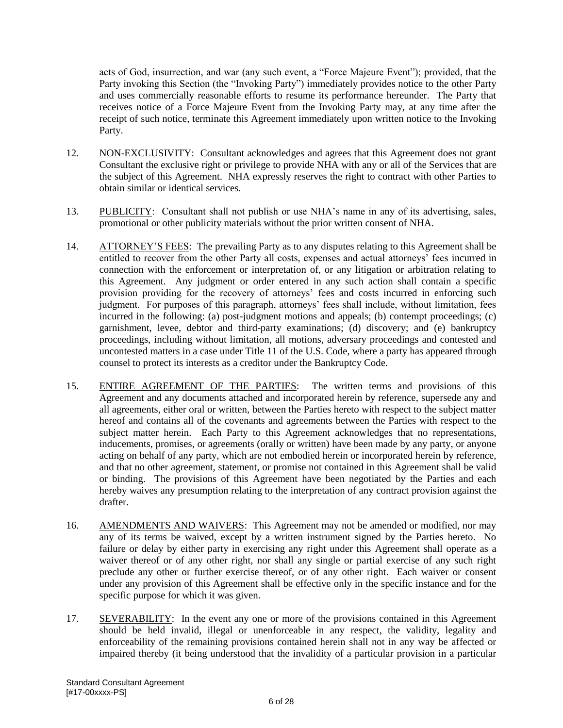acts of God, insurrection, and war (any such event, a "Force Majeure Event"); provided, that the Party invoking this Section (the "Invoking Party") immediately provides notice to the other Party and uses commercially reasonable efforts to resume its performance hereunder. The Party that receives notice of a Force Majeure Event from the Invoking Party may, at any time after the receipt of such notice, terminate this Agreement immediately upon written notice to the Invoking Party.

- 12. NON-EXCLUSIVITY: Consultant acknowledges and agrees that this Agreement does not grant Consultant the exclusive right or privilege to provide NHA with any or all of the Services that are the subject of this Agreement. NHA expressly reserves the right to contract with other Parties to obtain similar or identical services.
- 13. PUBLICITY: Consultant shall not publish or use NHA's name in any of its advertising, sales, promotional or other publicity materials without the prior written consent of NHA.
- 14. ATTORNEY'S FEES: The prevailing Party as to any disputes relating to this Agreement shall be entitled to recover from the other Party all costs, expenses and actual attorneys' fees incurred in connection with the enforcement or interpretation of, or any litigation or arbitration relating to this Agreement. Any judgment or order entered in any such action shall contain a specific provision providing for the recovery of attorneys' fees and costs incurred in enforcing such judgment. For purposes of this paragraph, attorneys' fees shall include, without limitation, fees incurred in the following: (a) post-judgment motions and appeals; (b) contempt proceedings; (c) garnishment, levee, debtor and third-party examinations; (d) discovery; and (e) bankruptcy proceedings, including without limitation, all motions, adversary proceedings and contested and uncontested matters in a case under Title 11 of the U.S. Code, where a party has appeared through counsel to protect its interests as a creditor under the Bankruptcy Code.
- 15. ENTIRE AGREEMENT OF THE PARTIES: The written terms and provisions of this Agreement and any documents attached and incorporated herein by reference, supersede any and all agreements, either oral or written, between the Parties hereto with respect to the subject matter hereof and contains all of the covenants and agreements between the Parties with respect to the subject matter herein. Each Party to this Agreement acknowledges that no representations, inducements, promises, or agreements (orally or written) have been made by any party, or anyone acting on behalf of any party, which are not embodied herein or incorporated herein by reference, and that no other agreement, statement, or promise not contained in this Agreement shall be valid or binding. The provisions of this Agreement have been negotiated by the Parties and each hereby waives any presumption relating to the interpretation of any contract provision against the drafter.
- 16. AMENDMENTS AND WAIVERS: This Agreement may not be amended or modified, nor may any of its terms be waived, except by a written instrument signed by the Parties hereto. No failure or delay by either party in exercising any right under this Agreement shall operate as a waiver thereof or of any other right, nor shall any single or partial exercise of any such right preclude any other or further exercise thereof, or of any other right. Each waiver or consent under any provision of this Agreement shall be effective only in the specific instance and for the specific purpose for which it was given.
- 17. SEVERABILITY: In the event any one or more of the provisions contained in this Agreement should be held invalid, illegal or unenforceable in any respect, the validity, legality and enforceability of the remaining provisions contained herein shall not in any way be affected or impaired thereby (it being understood that the invalidity of a particular provision in a particular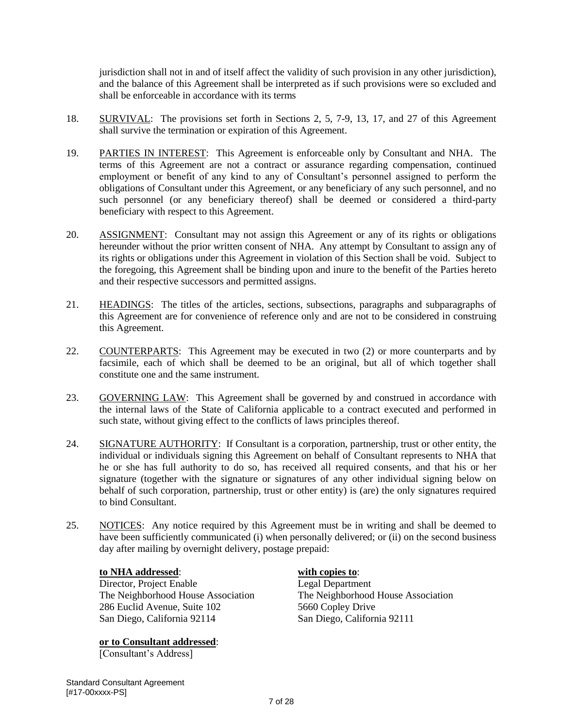jurisdiction shall not in and of itself affect the validity of such provision in any other jurisdiction), and the balance of this Agreement shall be interpreted as if such provisions were so excluded and shall be enforceable in accordance with its terms

- 18. SURVIVAL: The provisions set forth in Sections 2, 5, 7-9, 13, 17, and 27 of this Agreement shall survive the termination or expiration of this Agreement.
- 19. PARTIES IN INTEREST: This Agreement is enforceable only by Consultant and NHA. The terms of this Agreement are not a contract or assurance regarding compensation, continued employment or benefit of any kind to any of Consultant's personnel assigned to perform the obligations of Consultant under this Agreement, or any beneficiary of any such personnel, and no such personnel (or any beneficiary thereof) shall be deemed or considered a third-party beneficiary with respect to this Agreement.
- 20. ASSIGNMENT: Consultant may not assign this Agreement or any of its rights or obligations hereunder without the prior written consent of NHA. Any attempt by Consultant to assign any of its rights or obligations under this Agreement in violation of this Section shall be void. Subject to the foregoing, this Agreement shall be binding upon and inure to the benefit of the Parties hereto and their respective successors and permitted assigns.
- 21. HEADINGS: The titles of the articles, sections, subsections, paragraphs and subparagraphs of this Agreement are for convenience of reference only and are not to be considered in construing this Agreement.
- 22. COUNTERPARTS: This Agreement may be executed in two (2) or more counterparts and by facsimile, each of which shall be deemed to be an original, but all of which together shall constitute one and the same instrument.
- 23. GOVERNING LAW: This Agreement shall be governed by and construed in accordance with the internal laws of the State of California applicable to a contract executed and performed in such state, without giving effect to the conflicts of laws principles thereof.
- 24. SIGNATURE AUTHORITY: If Consultant is a corporation, partnership, trust or other entity, the individual or individuals signing this Agreement on behalf of Consultant represents to NHA that he or she has full authority to do so, has received all required consents, and that his or her signature (together with the signature or signatures of any other individual signing below on behalf of such corporation, partnership, trust or other entity) is (are) the only signatures required to bind Consultant.
- 25. NOTICES: Any notice required by this Agreement must be in writing and shall be deemed to have been sufficiently communicated (i) when personally delivered; or (ii) on the second business day after mailing by overnight delivery, postage prepaid:

# **to NHA addressed**: **with copies to**:

Director, Project Enable Legal Department 286 Euclid Avenue, Suite 102 5660 Copley Drive<br>
San Diego, California 92114 San Diego, California 92111 San Diego, California 92114

# **or to Consultant addressed**:

[Consultant's Address]

The Neighborhood House Association<br>
286 Euclid Avenue, Suite 102 5660 Copley Drive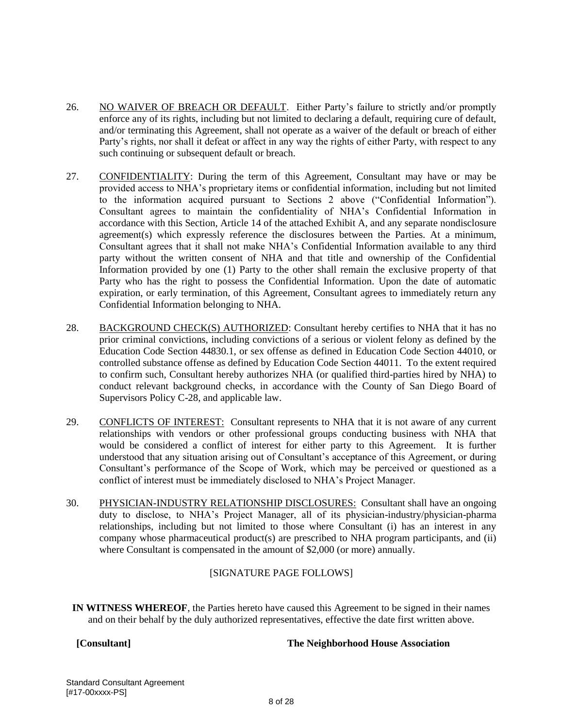- 26. NO WAIVER OF BREACH OR DEFAULT. Either Party's failure to strictly and/or promptly enforce any of its rights, including but not limited to declaring a default, requiring cure of default, and/or terminating this Agreement, shall not operate as a waiver of the default or breach of either Party's rights, nor shall it defeat or affect in any way the rights of either Party, with respect to any such continuing or subsequent default or breach.
- 27. CONFIDENTIALITY: During the term of this Agreement, Consultant may have or may be provided access to NHA's proprietary items or confidential information, including but not limited to the information acquired pursuant to Sections 2 above ("Confidential Information"). Consultant agrees to maintain the confidentiality of NHA's Confidential Information in accordance with this Section, Article 14 of the attached Exhibit A, and any separate nondisclosure agreement(s) which expressly reference the disclosures between the Parties. At a minimum, Consultant agrees that it shall not make NHA's Confidential Information available to any third party without the written consent of NHA and that title and ownership of the Confidential Information provided by one (1) Party to the other shall remain the exclusive property of that Party who has the right to possess the Confidential Information. Upon the date of automatic expiration, or early termination, of this Agreement, Consultant agrees to immediately return any Confidential Information belonging to NHA.
- 28. BACKGROUND CHECK(S) AUTHORIZED: Consultant hereby certifies to NHA that it has no prior criminal convictions, including convictions of a serious or violent felony as defined by the Education Code Section 44830.1, or sex offense as defined in Education Code Section 44010, or controlled substance offense as defined by Education Code Section 44011. To the extent required to confirm such, Consultant hereby authorizes NHA (or qualified third-parties hired by NHA) to conduct relevant background checks, in accordance with the County of San Diego Board of Supervisors Policy C-28, and applicable law.
- 29. CONFLICTS OF INTEREST: Consultant represents to NHA that it is not aware of any current relationships with vendors or other professional groups conducting business with NHA that would be considered a conflict of interest for either party to this Agreement. It is further understood that any situation arising out of Consultant's acceptance of this Agreement, or during Consultant's performance of the Scope of Work, which may be perceived or questioned as a conflict of interest must be immediately disclosed to NHA's Project Manager.
- 30. PHYSICIAN-INDUSTRY RELATIONSHIP DISCLOSURES: Consultant shall have an ongoing duty to disclose, to NHA's Project Manager, all of its physician-industry/physician-pharma relationships, including but not limited to those where Consultant (i) has an interest in any company whose pharmaceutical product(s) are prescribed to NHA program participants, and (ii) where Consultant is compensated in the amount of \$2,000 (or more) annually.

# [SIGNATURE PAGE FOLLOWS]

**IN WITNESS WHEREOF**, the Parties hereto have caused this Agreement to be signed in their names and on their behalf by the duly authorized representatives, effective the date first written above.

# **[Consultant] The Neighborhood House Association**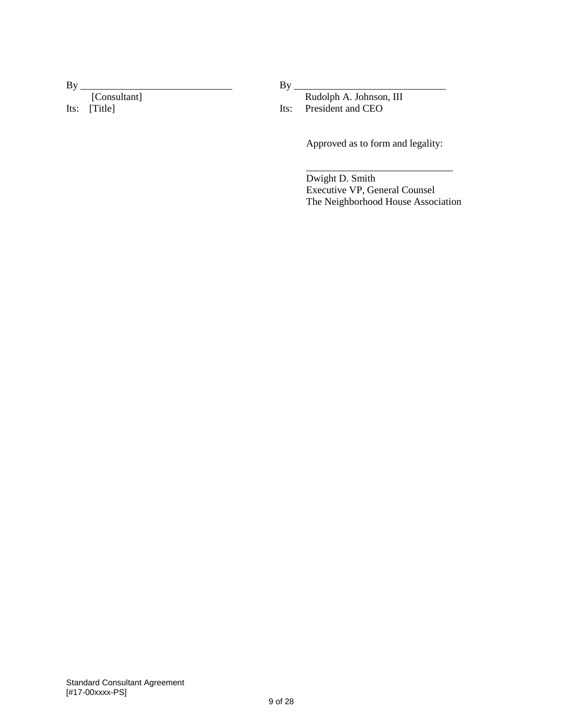| By |              |  |
|----|--------------|--|
|    | [Consultant] |  |
|    | Its: [Title] |  |

By \_\_\_\_\_\_\_\_\_\_\_\_\_\_\_\_\_\_\_\_\_\_\_\_\_\_\_\_\_\_

 Rudolph A. Johnson, III Its: President and CEO

Approved as to form and legality:

Dwight D. Smith Executive VP, General Counsel The Neighborhood House Association

\_\_\_\_\_\_\_\_\_\_\_\_\_\_\_\_\_\_\_\_\_\_\_\_\_\_\_\_\_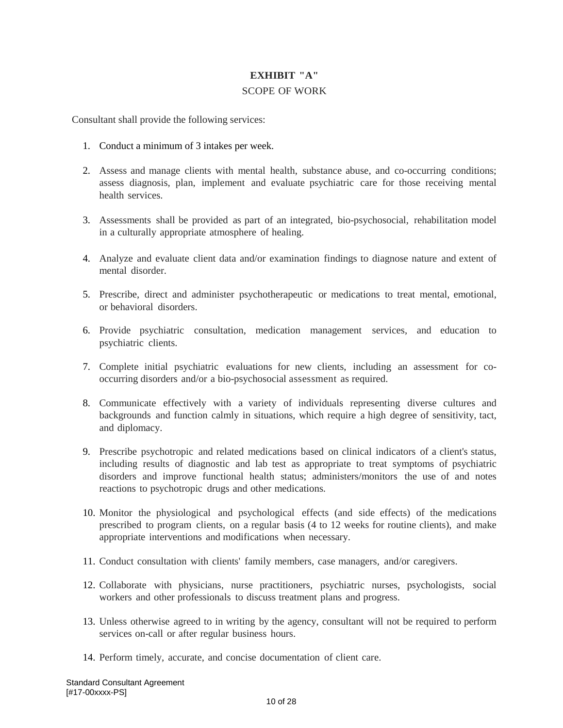# **EXHIBIT "A"** SCOPE OF WORK

Consultant shall provide the following services:

- 1. Conduct a minimum of 3 intakes per week.
- 2. Assess and manage clients with mental health, substance abuse, and co-occurring conditions; assess diagnosis, plan, implement and evaluate psychiatric care for those receiving mental health services.
- 3. Assessments shall be provided as part of an integrated, bio-psychosocial, rehabilitation model in a culturally appropriate atmosphere of healing.
- 4. Analyze and evaluate client data and/or examination findings to diagnose nature and extent of mental disorder.
- 5. Prescribe, direct and administer psychotherapeutic or medications to treat mental, emotional, or behavioral disorders.
- 6. Provide psychiatric consultation, medication management services, and education to psychiatric clients.
- 7. Complete initial psychiatric evaluations for new clients, including an assessment for cooccurring disorders and/or a bio-psychosocial assessment as required.
- 8. Communicate effectively with a variety of individuals representing diverse cultures and backgrounds and function calmly in situations, which require a high degree of sensitivity, tact, and diplomacy.
- 9. Prescribe psychotropic and related medications based on clinical indicators of a client's status, including results of diagnostic and lab test as appropriate to treat symptoms of psychiatric disorders and improve functional health status; administers/monitors the use of and notes reactions to psychotropic drugs and other medications.
- 10. Monitor the physiological and psychological effects (and side effects) of the medications prescribed to program clients, on a regular basis (4 to 12 weeks for routine clients), and make appropriate interventions and modifications when necessary.
- 11. Conduct consultation with clients' family members, case managers, and/or caregivers.
- 12. Collaborate with physicians, nurse practitioners, psychiatric nurses, psychologists, social workers and other professionals to discuss treatment plans and progress.
- 13. Unless otherwise agreed to in writing by the agency, consultant will not be required to perform services on-call or after regular business hours.
- 14. Perform timely, accurate, and concise documentation of client care.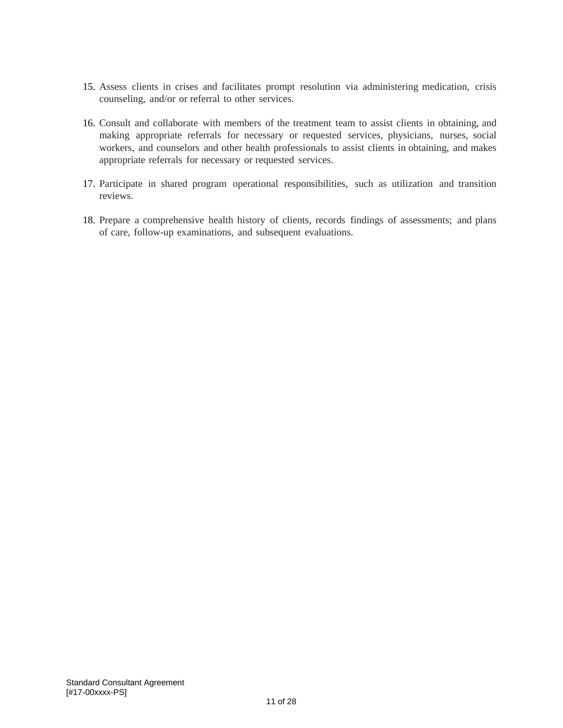- 15. Assess clients in crises and facilitates prompt resolution via administering medication, crisis counseling, and/or or referral to other services.
- 16. Consult and collaborate with members of the treatment team to assist clients in obtaining, and making appropriate referrals for necessary or requested services, physicians, nurses, social workers, and counselors and other health professionals to assist clients in obtaining, and makes appropriate referrals for necessary or requested services.
- 17. Participate in shared program operational responsibilities, such as utilization and transition reviews.
- 18. Prepare a comprehensive health history of clients, records findings of assessments; and plans of care, follow-up examinations, and subsequent evaluations.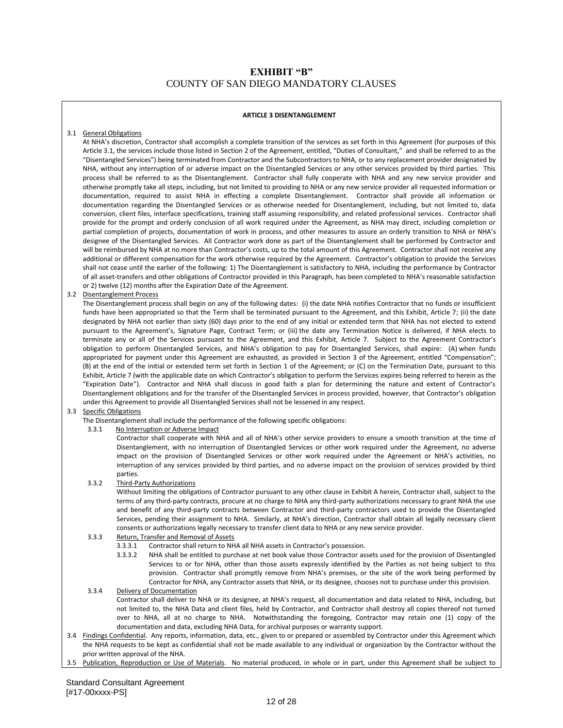# **EXHIBIT "B"** COUNTY OF SAN DIEGO MANDATORY CLAUSES

### **ARTICLE 3 DISENTANGLEMENT**

### 3.1 General Obligations

At NHA's discretion, Contractor shall accomplish a complete transition of the services as set forth in this Agreement (for purposes of this Article 3.1, the services include those listed in Section 2 of the Agreement, entitled, "Duties of Consultant," and shall be referred to as the "Disentangled Services") being terminated from Contractor and the Subcontractors to NHA, or to any replacement provider designated by NHA, without any interruption of or adverse impact on the Disentangled Services or any other services provided by third parties. This process shall be referred to as the Disentanglement. Contractor shall fully cooperate with NHA and any new service provider and otherwise promptly take all steps, including, but not limited to providing to NHA or any new service provider all requested information or documentation, required to assist NHA in effecting a complete Disentanglement. Contractor shall provide all information or documentation regarding the Disentangled Services or as otherwise needed for Disentanglement, including, but not limited to, data conversion, client files, interface specifications, training staff assuming responsibility, and related professional services. Contractor shall provide for the prompt and orderly conclusion of all work required under the Agreement, as NHA may direct, including completion or partial completion of projects, documentation of work in process, and other measures to assure an orderly transition to NHA or NHA's designee of the Disentangled Services. All Contractor work done as part of the Disentanglement shall be performed by Contractor and will be reimbursed by NHA at no more than Contractor's costs, up to the total amount of this Agreement. Contractor shall not receive any additional or different compensation for the work otherwise required by the Agreement. Contractor's obligation to provide the Services shall not cease until the earlier of the following: 1) The Disentanglement is satisfactory to NHA, including the performance by Contractor of all asset-transfers and other obligations of Contractor provided in this Paragraph, has been completed to NHA's reasonable satisfaction or 2) twelve (12) months after the Expiration Date of the Agreement.

### 3.2 Disentanglement Process

The Disentanglement process shall begin on any of the following dates: (i) the date NHA notifies Contractor that no funds or insufficient funds have been appropriated so that the Term shall be terminated pursuant to the Agreement, and this Exhibit, Article 7; (ii) the date designated by NHA not earlier than sixty (60) days prior to the end of any initial or extended term that NHA has not elected to extend pursuant to the Agreement's, Signature Page, Contract Term; or (iii) the date any Termination Notice is delivered, if NHA elects to terminate any or all of the Services pursuant to the Agreement, and this Exhibit, Article 7. Subject to the Agreement Contractor's obligation to perform Disentangled Services, and NHA's obligation to pay for Disentangled Services, shall expire: (A) when funds appropriated for payment under this Agreement are exhausted, as provided in Section 3 of the Agreement, entitled "Compensation"; (B) at the end of the initial or extended term set forth in Section 1 of the Agreement; or (C) on the Termination Date, pursuant to this Exhibit, Article 7 (with the applicable date on which Contractor's obligation to perform the Services expires being referred to herein as the "Expiration Date"). Contractor and NHA shall discuss in good faith a plan for determining the nature and extent of Contractor's Disentanglement obligations and for the transfer of the Disentangled Services in process provided, however, that Contractor's obligation under this Agreement to provide all Disentangled Services shall not be lessened in any respect.

### 3.3 Specific Obligations

The Disentanglement shall include the performance of the following specific obligations:

3.3.1 No Interruption or Adverse Impact

Contractor shall cooperate with NHA and all of NHA's other service providers to ensure a smooth transition at the time of Disentanglement, with no interruption of Disentangled Services or other work required under the Agreement, no adverse impact on the provision of Disentangled Services or other work required under the Agreement or NHA's activities, no interruption of any services provided by third parties, and no adverse impact on the provision of services provided by third parties.

3.3.2 Third-Party Authorizations

Without limiting the obligations of Contractor pursuant to any other clause in Exhibit A herein, Contractor shall, subject to the terms of any third-party contracts, procure at no charge to NHA any third-party authorizations necessary to grant NHA the use and benefit of any third-party contracts between Contractor and third-party contractors used to provide the Disentangled Services, pending their assignment to NHA. Similarly, at NHA's direction, Contractor shall obtain all legally necessary client consents or authorizations legally necessary to transfer client data to NHA or any new service provider.

# 3.3.3 Return, Transfer and Removal of Assets<br>3.3.3.1 Contractor shall return to NH

- Contractor shall return to NHA all NHA assets in Contractor's possession.
- 3.3.3.2 NHA shall be entitled to purchase at net book value those Contractor assets used for the provision of Disentangled Services to or for NHA, other than those assets expressly identified by the Parties as not being subject to this provision. Contractor shall promptly remove from NHA's premises, or the site of the work being performed by Contractor for NHA, any Contractor assets that NHA, or its designee, chooses not to purchase under this provision.
- 3.3.4 Delivery of Documentation Contractor shall deliver to NHA or its designee, at NHA's request, all documentation and data related to NHA, including, but not limited to, the NHA Data and client files, held by Contractor, and Contractor shall destroy all copies thereof not turned over to NHA, all at no charge to NHA. Notwithstanding the foregoing, Contractor may retain one (1) copy of the documentation and data, excluding NHA Data, for archival purposes or warranty support.
- 3.4 Findings Confidential. Any reports, information, data, etc., given to or prepared or assembled by Contractor under this Agreement which the NHA requests to be kept as confidential shall not be made available to any individual or organization by the Contractor without the prior written approval of the NHA.
- 3.5 Publication, Reproduction or Use of Materials. No material produced, in whole or in part, under this Agreement shall be subject to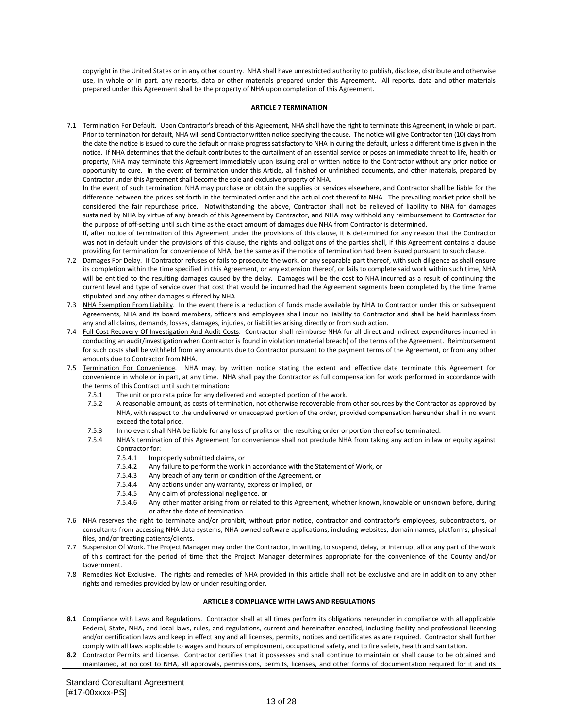copyright in the United States or in any other country. NHA shall have unrestricted authority to publish, disclose, distribute and otherwise use, in whole or in part, any reports, data or other materials prepared under this Agreement. All reports, data and other materials prepared under this Agreement shall be the property of NHA upon completion of this Agreement.

### **ARTICLE 7 TERMINATION**

7.1 Termination For Default. Upon Contractor's breach of this Agreement, NHA shall have the right to terminate this Agreement, in whole or part. Prior to termination for default, NHA will send Contractor written notice specifying the cause. The notice will give Contractor ten (10) days from the date the notice is issued to cure the default or make progress satisfactory to NHA in curing the default, unless a different time is given in the notice. If NHA determines that the default contributes to the curtailment of an essential service or poses an immediate threat to life, health or property, NHA may terminate this Agreement immediately upon issuing oral or written notice to the Contractor without any prior notice or opportunity to cure. In the event of termination under this Article, all finished or unfinished documents, and other materials, prepared by Contractor under this Agreement shall become the sole and exclusive property of NHA.

In the event of such termination, NHA may purchase or obtain the supplies or services elsewhere, and Contractor shall be liable for the difference between the prices set forth in the terminated order and the actual cost thereof to NHA. The prevailing market price shall be considered the fair repurchase price. Notwithstanding the above, Contractor shall not be relieved of liability to NHA for damages sustained by NHA by virtue of any breach of this Agreement by Contractor, and NHA may withhold any reimbursement to Contractor for the purpose of off-setting until such time as the exact amount of damages due NHA from Contractor is determined.

If, after notice of termination of this Agreement under the provisions of this clause, it is determined for any reason that the Contractor was not in default under the provisions of this clause, the rights and obligations of the parties shall, if this Agreement contains a clause providing for termination for convenience of NHA, be the same as if the notice of termination had been issued pursuant to such clause.

- 7.2 Damages For Delay. If Contractor refuses or fails to prosecute the work, or any separable part thereof, with such diligence as shall ensure its completion within the time specified in this Agreement, or any extension thereof, or fails to complete said work within such time, NHA will be entitled to the resulting damages caused by the delay. Damages will be the cost to NHA incurred as a result of continuing the current level and type of service over that cost that would be incurred had the Agreement segments been completed by the time frame stipulated and any other damages suffered by NHA.
- 7.3 NHA Exemption From Liability. In the event there is a reduction of funds made available by NHA to Contractor under this or subsequent Agreements, NHA and its board members, officers and employees shall incur no liability to Contractor and shall be held harmless from any and all claims, demands, losses, damages, injuries, or liabilities arising directly or from such action.
- 7.4 Full Cost Recovery Of Investigation And Audit Costs. Contractor shall reimburse NHA for all direct and indirect expenditures incurred in conducting an audit/investigation when Contractor is found in violation (material breach) of the terms of the Agreement. Reimbursement for such costs shall be withheld from any amounts due to Contractor pursuant to the payment terms of the Agreement, or from any other amounts due to Contractor from NHA.
- 7.5 Termination For Convenience. NHA may, by written notice stating the extent and effective date terminate this Agreement for convenience in whole or in part, at any time. NHA shall pay the Contractor as full compensation for work performed in accordance with the terms of this Contract until such termination:
	- 7.5.1 The unit or pro rata price for any delivered and accepted portion of the work.
	- 7.5.2 A reasonable amount, as costs of termination, not otherwise recoverable from other sources by the Contractor as approved by NHA, with respect to the undelivered or unaccepted portion of the order, provided compensation hereunder shall in no event exceed the total price.
	- 7.5.3 In no event shall NHA be liable for any loss of profits on the resulting order or portion thereof so terminated.<br>7.5.4 NHA's termination of this Agreement for convenience shall not preclude NHA from taking any action
	- NHA's termination of this Agreement for convenience shall not preclude NHA from taking any action in law or equity against Contractor for:
		- 7.5.4.1 Improperly submitted claims, or
		- 7.5.4.2 Any failure to perform the work in accordance with the Statement of Work, or
		- 7.5.4.3 Any breach of any term or condition of the Agreement, or
		- 7.5.4.4 Any actions under any warranty, express or implied, or
		- 7.5.4.5 Any claim of professional negligence, or
		- 7.5.4.6 Any other matter arising from or related to this Agreement, whether known, knowable or unknown before, during or after the date of termination.
- 7.6 NHA reserves the right to terminate and/or prohibit, without prior notice, contractor and contractor's employees, subcontractors, or consultants from accessing NHA data systems, NHA owned software applications, including websites, domain names, platforms, physical files, and/or treating patients/clients.
- 7.7 Suspension Of Work. The Project Manager may order the Contractor, in writing, to suspend, delay, or interrupt all or any part of the work of this contract for the period of time that the Project Manager determines appropriate for the convenience of the County and/or Government.
- 7.8 Remedies Not Exclusive. The rights and remedies of NHA provided in this article shall not be exclusive and are in addition to any other rights and remedies provided by law or under resulting order.

### **ARTICLE 8 COMPLIANCE WITH LAWS AND REGULATIONS**

- **8.1** Compliance with Laws and Regulations. Contractor shall at all times perform its obligations hereunder in compliance with all applicable Federal, State, NHA, and local laws, rules, and regulations, current and hereinafter enacted, including facility and professional licensing and/or certification laws and keep in effect any and all licenses, permits, notices and certificates as are required. Contractor shall further comply with all laws applicable to wages and hours of employment, occupational safety, and to fire safety, health and sanitation.
- **8.2** Contractor Permits and License. Contractor certifies that it possesses and shall continue to maintain or shall cause to be obtained and maintained, at no cost to NHA, all approvals, permissions, permits, licenses, and other forms of documentation required for it and its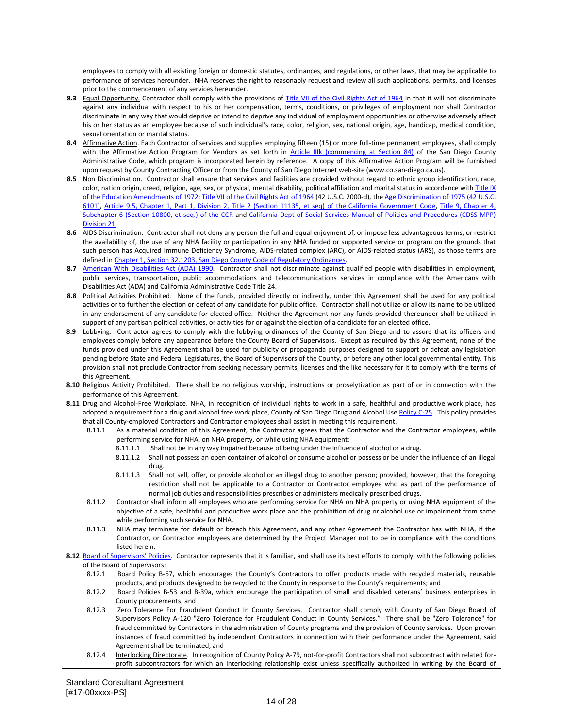employees to comply with all existing foreign or domestic statutes, ordinances, and regulations, or other laws, that may be applicable to performance of services hereunder. NHA reserves the right to reasonably request and review all such applications, permits, and licenses prior to the commencement of any services hereunder.

- 8.3 Equal Opportunity. Contractor shall comply with the provisions of [Title VII of the Civil Rights Act of 1964](http://www.eeoc.gov/policy/vii.html) in that it will not discriminate against any individual with respect to his or her compensation, terms, conditions, or privileges of employment nor shall Contractor discriminate in any way that would deprive or intend to deprive any individual of employment opportunities or otherwise adversely affect his or her status as an employee because of such individual's race, color, religion, sex, national origin, age, handicap, medical condition, sexual orientation or marital status.
- **8.4** Affirmative Action. Each Contractor of services and supplies employing fifteen (15) or more full-time permanent employees, shall comply with the Affirmative Action Program for Vendors as set forth in **[Article IIIk \(commencing at Section 84\)](http://www.amlegal.com/nxt/gateway.dll?f=templates&fn=default.htm&vid=amlegal:sandiegoco_ca_mc)** of the San Diego County Administrative Code, which program is incorporated herein by reference. A copy of this Affirmative Action Program will be furnished upon request by County Contracting Officer or from the County of San Diego Internet web-site [\(www.co.san-diego.ca.us\)](http://www.co.san-diego.ca.us/).
- **8.5** Non Discrimination. Contractor shall ensure that services and facilities are provided without regard to ethnic group identification, race, color, nation origin, creed, religion, age, sex, or physical, mental disability, political affiliation and marital status in accordance with Title IX [of the Education Amendments of 1972;](http://www.dol.gov/oasam/regs/statutes/titleIX.htm) [Title VII of the Civil Rights Act of 1964](http://www.eeoc.gov/policy/vii.html) (42 U.S.C. 2000-d), th[e Age Discrimination of 1975 \(42 U.S.C.](http://www.dol.gov/oasam/regs/statutes/Age_act.htm)  [6101\),](http://www.dol.gov/oasam/regs/statutes/Age_act.htm) [Article 9.5, Chapter 1, Part 1, Division 2, Title 2 \(Section 11135, et seq\) of the California Government Code,](http://law.justia.com/california/codes/gov/11135-11139.8.html) [Title 9, Chapter 4,](http://weblinks.westlaw.com/result/default.aspx?action=Search&cfid=1&cnt=DOC&db=CA%2DADC&eq=search&fmqv=c&fn=%5Ftop&method=TNC&n=1&origin=Search&query=CI%28%22CA+ADC+S+10800%22%29&rlt=CLID%5FQRYRLT322185814151&rltdb=CLID%5FDB21788175814151&rlti=1&rp=%2Fsearch%2Fdefault%2Ewl&rs=GVT1%2E0&service=Search&sp=CCR%2D1000&srch=TRUE&ss=CNT&sskey=CLID%5FSSSA41788175814151&tempinfo=FIND&vr=2%2E0)  [Subchapter 6 \(Section 10800, et seq.\) of the CCR](http://weblinks.westlaw.com/result/default.aspx?action=Search&cfid=1&cnt=DOC&db=CA%2DADC&eq=search&fmqv=c&fn=%5Ftop&method=TNC&n=1&origin=Search&query=CI%28%22CA+ADC+S+10800%22%29&rlt=CLID%5FQRYRLT322185814151&rltdb=CLID%5FDB21788175814151&rlti=1&rp=%2Fsearch%2Fdefault%2Ewl&rs=GVT1%2E0&service=Search&sp=CCR%2D1000&srch=TRUE&ss=CNT&sskey=CLID%5FSSSA41788175814151&tempinfo=FIND&vr=2%2E0) and [California Dept of Social Services Manual of Policies and Procedures \(CDSS MPP\)](http://www.cdss.ca.gov/getinfo/pdf/3cfcman.pdf)  [Division 21.](http://www.cdss.ca.gov/getinfo/pdf/3cfcman.pdf)
- 8.6 AIDS Discrimination. Contractor shall not deny any person the full and equal enjoyment of, or impose less advantageous terms, or restrict the availability of, the use of any NHA facility or participation in any NHA funded or supported service or program on the grounds that such person has Acquired Immune Deficiency Syndrome, AIDS-related complex (ARC), or AIDS-related status (ARS), as those terms are defined i[n Chapter 1, Section 32.1203, San Diego County Code of Regulatory Ordinances.](http://www.amlegal.com/nxt/gateway.dll?f=templates&fn=default.htm&vid=amlegal:sandiegoco_ca_mc)
- 8.7 [American With Disabilities Act \(ADA\) 1990.](http://www.ada.gov/pubs/ada.htm) Contractor shall not discriminate against qualified people with disabilities in employment, public services, transportation, public accommodations and telecommunications services in compliance with the Americans with Disabilities Act (ADA) and California Administrative Code Title 24.
- **8.8** Political Activities Prohibited. None of the funds, provided directly or indirectly, under this Agreement shall be used for any political activities or to further the election or defeat of any candidate for public office. Contractor shall not utilize or allow its name to be utilized in any endorsement of any candidate for elected office. Neither the Agreement nor any funds provided thereunder shall be utilized in support of any partisan political activities, or activities for or against the election of a candidate for an elected office.
- **8.9** Lobbying. Contractor agrees to comply with the lobbying ordinances of the County of San Diego and to assure that its officers and employees comply before any appearance before the County Board of Supervisors. Except as required by this Agreement, none of the funds provided under this Agreement shall be used for publicity or propaganda purposes designed to support or defeat any legislation pending before State and Federal Legislatures, the Board of Supervisors of the County, or before any other local governmental entity. This provision shall not preclude Contractor from seeking necessary permits, licenses and the like necessary for it to comply with the terms of this Agreement.
- 8.10 Religious Activity Prohibited. There shall be no religious worship, instructions or proselytization as part of or in connection with the performance of this Agreement.
- 8.11 Drug and Alcohol-Free Workplace. NHA, in recognition of individual rights to work in a safe, healthful and productive work place, has adopted a requirement for a drug and alcohol free work place, County of San Diego Drug and Alcohol Us[e Policy C-25.](http://www.sdcounty.ca.gov/cob/policy/index.html#sectionc) This policy provides that all County-employed Contractors and Contractor employees shall assist in meeting this requirement.
	- 8.11.1 As a material condition of this Agreement, the Contractor agrees that the Contractor and the Contractor employees, while performing service for NHA, on NHA property, or while using NHA equipment:
		- 8.11.1.1 Shall not be in any way impaired because of being under the influence of alcohol or a drug.
		- 8.11.1.2 Shall not possess an open container of alcohol or consume alcohol or possess or be under the influence of an illegal drug.
		- 8.11.1.3 Shall not sell, offer, or provide alcohol or an illegal drug to another person; provided, however, that the foregoing restriction shall not be applicable to a Contractor or Contractor employee who as part of the performance of normal job duties and responsibilities prescribes or administers medically prescribed drugs.
	- 8.11.2 Contractor shall inform all employees who are performing service for NHA on NHA property or using NHA equipment of the objective of a safe, healthful and productive work place and the prohibition of drug or alcohol use or impairment from same while performing such service for NHA.
	- 8.11.3 NHA may terminate for default or breach this Agreement, and any other Agreement the Contractor has with NHA, if the Contractor, or Contractor employees are determined by the Project Manager not to be in compliance with the conditions listed herein.

### 8.12 [Board of Supervisors' Policies](http://www.sdcounty.ca.gov/cob/policy/index.html). Contractor represents that it is familiar, and shall use its best efforts to comply, with the following policies of the Board of Supervisors:

- 8.12.1 Board Policy B-67, which encourages the County's Contractors to offer products made with recycled materials, reusable products, and products designed to be recycled to the County in response to the County's requirements; and
- 8.12.2 Board Policies B-53 and B-39a, which encourage the participation of small and disabled veterans' business enterprises in County procurements; and
- 8.12.3 Zero Tolerance For Fraudulent Conduct In County Services. Contractor shall comply with County of San Diego Board of Supervisors Policy A-120 "Zero Tolerance for Fraudulent Conduct in County Services." There shall be "Zero Tolerance" for fraud committed by Contractors in the administration of County programs and the provision of County services. Upon proven instances of fraud committed by independent Contractors in connection with their performance under the Agreement, said Agreement shall be terminated; and
- 8.12.4 Interlocking Directorate. In recognition of County Policy A-79, not-for-profit Contractors shall not subcontract with related forprofit subcontractors for which an interlocking relationship exist unless specifically authorized in writing by the Board of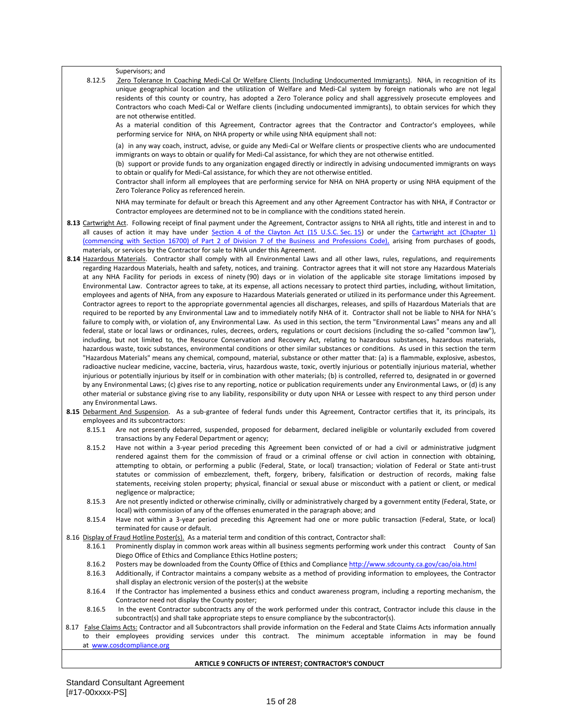Supervisors; and

8.12.5 Zero Tolerance In Coaching Medi-Cal Or Welfare Clients (Including Undocumented Immigrants). NHA, in recognition of its unique geographical location and the utilization of Welfare and Medi-Cal system by foreign nationals who are not legal residents of this county or country, has adopted a Zero Tolerance policy and shall aggressively prosecute employees and Contractors who coach Medi-Cal or Welfare clients (including undocumented immigrants), to obtain services for which they are not otherwise entitled.

As a material condition of this Agreement, Contractor agrees that the Contractor and Contractor's employees, while performing service for NHA, on NHA property or while using NHA equipment shall not:

(a) in any way coach, instruct, advise, or guide any Medi-Cal or Welfare clients or prospective clients who are undocumented immigrants on ways to obtain or qualify for Medi-Cal assistance, for which they are not otherwise entitled.

(b) support or provide funds to any organization engaged directly or indirectly in advising undocumented immigrants on ways to obtain or qualify for Medi-Cal assistance, for which they are not otherwise entitled.

Contractor shall inform all employees that are performing service for NHA on NHA property or using NHA equipment of the Zero Tolerance Policy as referenced herein.

NHA may terminate for default or breach this Agreement and any other Agreement Contractor has with NHA, if Contractor or Contractor employees are determined not to be in compliance with the conditions stated herein.

- **8.13** Cartwright Act. Following receipt of final payment under the Agreement, Contractor assigns to NHA all rights, title and interest in and to all causes of action it may have under [Section 4 of the Clayton Act \(15 U.S.C.](http://www.usdoj.gov/atr/foia/divisionmanual/ch2.htm) Sec. 15) or under the Cartwright act (Chapter 1 [\(commencing with Section 16700\) of Part 2 of Division 7 of the Business and Professions Code\),](http://www.leginfo.ca.gov/cgi-bin/calawquery?codesection=bpc&codebody=&hits=20) arising from purchases of goods, materials, or services by the Contractor for sale to NHA under this Agreement.
- **8.14** Hazardous Materials. Contractor shall comply with all Environmental Laws and all other laws, rules, regulations, and requirements regarding Hazardous Materials, health and safety, notices, and training. Contractor agrees that it will not store any Hazardous Materials at any NHA Facility for periods in excess of ninety (90) days or in violation of the applicable site storage limitations imposed by Environmental Law. Contractor agrees to take, at its expense, all actions necessary to protect third parties, including, without limitation, employees and agents of NHA, from any exposure to Hazardous Materials generated or utilized in its performance under this Agreement. Contractor agrees to report to the appropriate governmental agencies all discharges, releases, and spills of Hazardous Materials that are required to be reported by any Environmental Law and to immediately notify NHA of it. Contractor shall not be liable to NHA for NHA's failure to comply with, or violation of, any Environmental Law. As used in this section, the term "Environmental Laws" means any and all federal, state or local laws or ordinances, rules, decrees, orders, regulations or court decisions (including the so-called "common law"), including, but not limited to, the Resource Conservation and Recovery Act, relating to hazardous substances, hazardous materials, hazardous waste, toxic substances, environmental conditions or other similar substances or conditions. As used in this section the term "Hazardous Materials" means any chemical, compound, material, substance or other matter that: (a) is a flammable, explosive, asbestos, radioactive nuclear medicine, vaccine, bacteria, virus, hazardous waste, toxic, overtly injurious or potentially injurious material, whether injurious or potentially injurious by itself or in combination with other materials; (b) is controlled, referred to, designated in or governed by any Environmental Laws; (c) gives rise to any reporting, notice or publication requirements under any Environmental Laws, or (d) is any other material or substance giving rise to any liability, responsibility or duty upon NHA or Lessee with respect to any third person under any Environmental Laws.
- 8.15 Debarment And Suspension. As a sub-grantee of federal funds under this Agreement, Contractor certifies that it, its principals, its employees and its subcontractors:
	- 8.15.1 Are not presently debarred, suspended, proposed for debarment, declared ineligible or voluntarily excluded from covered transactions by any Federal Department or agency;
	- 8.15.2 Have not within a 3-year period preceding this Agreement been convicted of or had a civil or administrative judgment rendered against them for the commission of fraud or a criminal offense or civil action in connection with obtaining, attempting to obtain, or performing a public (Federal, State, or local) transaction; violation of Federal or State anti-trust statutes or commission of embezzlement, theft, forgery, bribery, falsification or destruction of records, making false statements, receiving stolen property; physical, financial or sexual abuse or misconduct with a patient or client, or medical negligence or malpractice;
	- 8.15.3 Are not presently indicted or otherwise criminally, civilly or administratively charged by a government entity (Federal, State, or local) with commission of any of the offenses enumerated in the paragraph above; and
	- 8.15.4 Have not within a 3-year period preceding this Agreement had one or more public transaction (Federal, State, or local) terminated for cause or default.
- 8.16 Display of Fraud Hotline Poster(s). As a material term and condition of this contract, Contractor shall:
	- 8.16.1 Prominently display in common work areas within all business segments performing work under this contract County of San Diego Office of Ethics and Compliance Ethics Hotline posters;
	- 8.16.2 Posters may be downloaded from the County Office of Ethics and Compliance<http://www.sdcounty.ca.gov/cao/oia.html>
	- 8.16.3 Additionally, if Contractor maintains a company website as a method of providing information to employees, the Contractor shall display an electronic version of the poster(s) at the website
	- 8.16.4 If the Contractor has implemented a business ethics and conduct awareness program, including a reporting mechanism, the Contractor need not display the County poster;
	- 8.16.5 In the event Contractor subcontracts any of the work performed under this contract, Contractor include this clause in the subcontract(s) and shall take appropriate steps to ensure compliance by the subcontractor(s).
- 8.17 False Claims Acts: Contractor and all Subcontractors shall provide information on the Federal and State Claims Acts information annually to their employees providing services under this contract. The minimum acceptable information in may be found at [www.cosdcompliance.org](http://www.cosdcompliance.org/)

### **ARTICLE 9 CONFLICTS OF INTEREST; CONTRACTOR'S CONDUCT**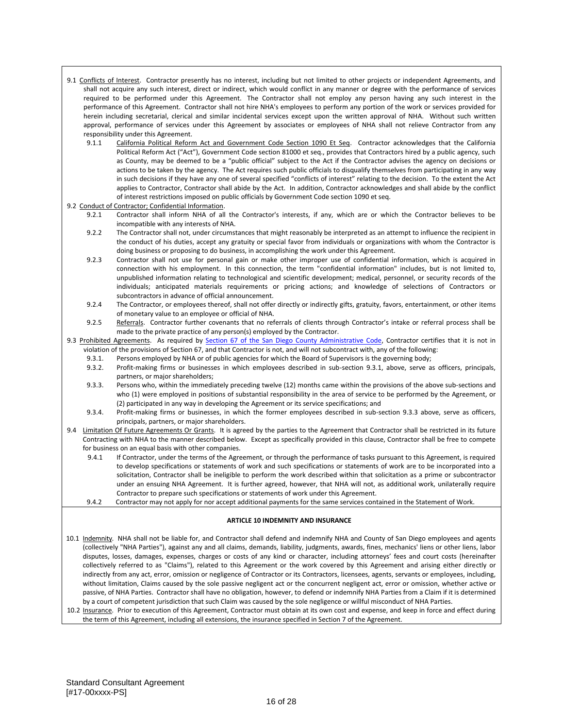- 9.1 Conflicts of Interest. Contractor presently has no interest, including but not limited to other projects or independent Agreements, and shall not acquire any such interest, direct or indirect, which would conflict in any manner or degree with the performance of services required to be performed under this Agreement. The Contractor shall not employ any person having any such interest in the performance of this Agreement. Contractor shall not hire NHA's employees to perform any portion of the work or services provided for herein including secretarial, clerical and similar incidental services except upon the written approval of NHA. Without such written approval, performance of services under this Agreement by associates or employees of NHA shall not relieve Contractor from any responsibility under this Agreement.
	- 9.1.1 California Political Reform Act and Government Code Section 1090 Et Seq. Contractor acknowledges that the California Political Reform Act ("Act"), Government Code section 81000 et seq., provides that Contractors hired by a public agency, such as County, may be deemed to be a "public official" subject to the Act if the Contractor advises the agency on decisions or actions to be taken by the agency. The Act requires such public officials to disqualify themselves from participating in any way in such decisions if they have any one of several specified "conflicts of interest" relating to the decision. To the extent the Act applies to Contractor, Contractor shall abide by the Act. In addition, Contractor acknowledges and shall abide by the conflict of interest restrictions imposed on public officials by Government Code section 1090 et seq.

### 9.2 Conduct of Contractor; Confidential Information.

- 9.2.1 Contractor shall inform NHA of all the Contractor's interests, if any, which are or which the Contractor believes to be incompatible with any interests of NHA.
- 9.2.2 The Contractor shall not, under circumstances that might reasonably be interpreted as an attempt to influence the recipient in the conduct of his duties, accept any gratuity or special favor from individuals or organizations with whom the Contractor is doing business or proposing to do business, in accomplishing the work under this Agreement.
- 9.2.3 Contractor shall not use for personal gain or make other improper use of confidential information, which is acquired in connection with his employment. In this connection, the term "confidential information" includes, but is not limited to, unpublished information relating to technological and scientific development; medical, personnel, or security records of the individuals; anticipated materials requirements or pricing actions; and knowledge of selections of Contractors or subcontractors in advance of official announcement.
- 9.2.4 The Contractor, or employees thereof, shall not offer directly or indirectly gifts, gratuity, favors, entertainment, or other items of monetary value to an employee or official of NHA.
- 9.2.5 Referrals. Contractor further covenants that no referrals of clients through Contractor's intake or referral process shall be made to the private practice of any person(s) employed by the Contractor.
- <span id="page-27-1"></span><span id="page-27-0"></span>9.3 Prohibited Agreements. As required by [Section 67 of the San Diego County Administrative Code,](http://www.amlegal.com/nxt/gateway.dll?f=templates&fn=default.htm&vid=amlegal:sandiegoco_ca_mc) Contractor certifies that it is not in violation of the provisions of Section 67, and that Contractor is not, and will not subcontract with, any of the following:<br>9.3.1. Persons employed by NHA or of public agencies for which the Board of Supervisors is the gov
	- Persons employed by NHA or of public agencies for which the Board of Supervisors is the governing body;
	- 9.3.2. Profit-making firms or businesses in which employees described in sub-section [9.3.1,](#page-27-0) above, serve as officers, principals, partners, or major shareholders;
	- 9.3.3. Persons who, within the immediately preceding twelve (12) months came within the provisions of the above sub-sections and who (1) were employed in positions of substantial responsibility in the area of service to be performed by the Agreement, or (2) participated in any way in developing the Agreement or its service specifications; and
	- 9.3.4. Profit-making firms or businesses, in which the former employees described in sub-section [9.3.3](#page-27-1) above, serve as officers, principals, partners, or major shareholders.
- 9.4 Limitation Of Future Agreements Or Grants. It is agreed by the parties to the Agreement that Contractor shall be restricted in its future Contracting with NHA to the manner described below. Except as specifically provided in this clause, Contractor shall be free to compete for business on an equal basis with other companies.
	- 9.4.1 If Contractor, under the terms of the Agreement, or through the performance of tasks pursuant to this Agreement, is required to develop specifications or statements of work and such specifications or statements of work are to be incorporated into a solicitation, Contractor shall be ineligible to perform the work described within that solicitation as a prime or subcontractor under an ensuing NHA Agreement. It is further agreed, however, that NHA will not, as additional work, unilaterally require Contractor to prepare such specifications or statements of work under this Agreement.
	- 9.4.2 Contractor may not apply for nor accept additional payments for the same services contained in the Statement of Work.

### **ARTICLE 10 INDEMNITY AND INSURANCE**

- 10.1 Indemnity. NHA shall not be liable for, and Contractor shall defend and indemnify NHA and County of San Diego employees and agents (collectively "NHA Parties"), against any and all claims, demands, liability, judgments, awards, fines, mechanics' liens or other liens, labor disputes, losses, damages, expenses, charges or costs of any kind or character, including attorneys' fees and court costs (hereinafter collectively referred to as "Claims"), related to this Agreement or the work covered by this Agreement and arising either directly or indirectly from any act, error, omission or negligence of Contractor or its Contractors, licensees, agents, servants or employees, including, without limitation, Claims caused by the sole passive negligent act or the concurrent negligent act, error or omission, whether active or passive, of NHA Parties. Contractor shall have no obligation, however, to defend or indemnify NHA Parties from a Claim if it is determined by a court of competent jurisdiction that such Claim was caused by the sole negligence or willful misconduct of NHA Parties.
- 10.2 Insurance. Prior to execution of this Agreement, Contractor must obtain at its own cost and expense, and keep in force and effect during the term of this Agreement, including all extensions, the insurance specified in Section 7 of the Agreement.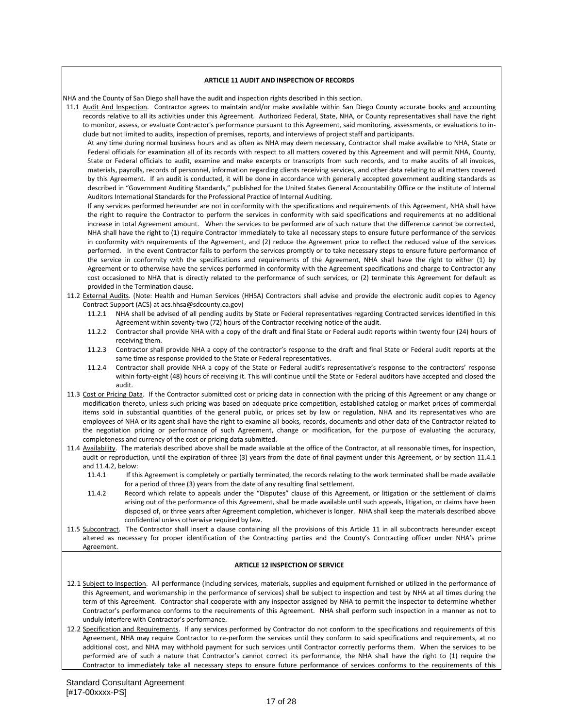### **ARTICLE 11 AUDIT AND INSPECTION OF RECORDS**

NHA and the County of San Diego shall have the audit and inspection rights described in this section.

11.1 Audit And Inspection. Contractor agrees to maintain and/or make available within San Diego County accurate books and accounting records relative to all its activities under this Agreement. Authorized Federal, State, NHA, or County representatives shall have the right to monitor, assess, or evaluate Contractor's performance pursuant to this Agreement, said monitoring, assessments, or evaluations to include but not limited to audits, inspection of premises, reports, and interviews of project staff and participants.

At any time during normal business hours and as often as NHA may deem necessary, Contractor shall make available to NHA, State or Federal officials for examination all of its records with respect to all matters covered by this Agreement and will permit NHA, County, State or Federal officials to audit, examine and make excerpts or transcripts from such records, and to make audits of all invoices, materials, payrolls, records of personnel, information regarding clients receiving services, and other data relating to all matters covered by this Agreement. If an audit is conducted, it will be done in accordance with generally accepted government auditing standards as described in "Government Auditing Standards," published for the United States General Accountability Office or the institute of Internal Auditors International Standards for the Professional Practice of Internal Auditing.

If any services performed hereunder are not in conformity with the specifications and requirements of this Agreement, NHA shall have the right to require the Contractor to perform the services in conformity with said specifications and requirements at no additional increase in total Agreement amount. When the services to be performed are of such nature that the difference cannot be corrected, NHA shall have the right to (1) require Contractor immediately to take all necessary steps to ensure future performance of the services in conformity with requirements of the Agreement, and (2) reduce the Agreement price to reflect the reduced value of the services performed. In the event Contractor fails to perform the services promptly or to take necessary steps to ensure future performance of the service in conformity with the specifications and requirements of the Agreement, NHA shall have the right to either (1) by Agreement or to otherwise have the services performed in conformity with the Agreement specifications and charge to Contractor any cost occasioned to NHA that is directly related to the performance of such services, or (2) terminate this Agreement for default as provided in the Termination clause.

- 11.2 External Audits. (Note: Health and Human Services (HHSA) Contractors shall advise and provide the electronic audit copies to Agency Contract Support (ACS) at acs.hhsa@sdcounty.ca.gov)
	- 11.2.1 NHA shall be advised of all pending audits by State or Federal representatives regarding Contracted services identified in this Agreement within seventy-two (72) hours of the Contractor receiving notice of the audit.
	- 11.2.2 Contractor shall provide NHA with a copy of the draft and final State or Federal audit reports within twenty four (24) hours of receiving them.
	- 11.2.3 Contractor shall provide NHA a copy of the contractor's response to the draft and final State or Federal audit reports at the same time as response provided to the State or Federal representatives.
	- 11.2.4 Contractor shall provide NHA a copy of the State or Federal audit's representative's response to the contractors' response within forty-eight (48) hours of receiving it. This will continue until the State or Federal auditors have accepted and closed the audit.
- 11.3 Cost or Pricing Data. If the Contractor submitted cost or pricing data in connection with the pricing of this Agreement or any change or modification thereto, unless such pricing was based on adequate price competition, established catalog or market prices of commercial items sold in substantial quantities of the general public, or prices set by law or regulation, NHA and its representatives who are employees of NHA or its agent shall have the right to examine all books, records, documents and other data of the Contractor related to the negotiation pricing or performance of such Agreement, change or modification, for the purpose of evaluating the accuracy, completeness and currency of the cost or pricing data submitted.
- 11.4 Availability. The materials described above shall be made available at the office of the Contractor, at all reasonable times, for inspection, audit or reproduction, until the expiration of three (3) years from the date of final payment under this Agreement, or by section 11.4.1 and 11.4.2, below:
	- 11.4.1 If this Agreement is completely or partially terminated, the records relating to the work terminated shall be made available for a period of three (3) years from the date of any resulting final settlement.
	- 11.4.2 Record which relate to appeals under the "Disputes" clause of this Agreement, or litigation or the settlement of claims arising out of the performance of this Agreement, shall be made available until such appeals, litigation, or claims have been disposed of, or three years after Agreement completion, whichever is longer. NHA shall keep the materials described above confidential unless otherwise required by law.
- 11.5 Subcontract. The Contractor shall insert a clause containing all the provisions of this Article 11 in all subcontracts hereunder except altered as necessary for proper identification of the Contracting parties and the County's Contracting officer under NHA's prime Agreement.

### **ARTICLE 12 INSPECTION OF SERVICE**

- 12.1 Subject to Inspection. All performance (including services, materials, supplies and equipment furnished or utilized in the performance of this Agreement, and workmanship in the performance of services) shall be subject to inspection and test by NHA at all times during the term of this Agreement. Contractor shall cooperate with any inspector assigned by NHA to permit the inspector to determine whether Contractor's performance conforms to the requirements of this Agreement. NHA shall perform such inspection in a manner as not to unduly interfere with Contractor's performance.
- 12.2 Specification and Requirements. If any services performed by Contractor do not conform to the specifications and requirements of this Agreement, NHA may require Contractor to re-perform the services until they conform to said specifications and requirements, at no additional cost, and NHA may withhold payment for such services until Contractor correctly performs them. When the services to be performed are of such a nature that Contractor's cannot correct its performance, the NHA shall have the right to (1) require the Contractor to immediately take all necessary steps to ensure future performance of services conforms to the requirements of this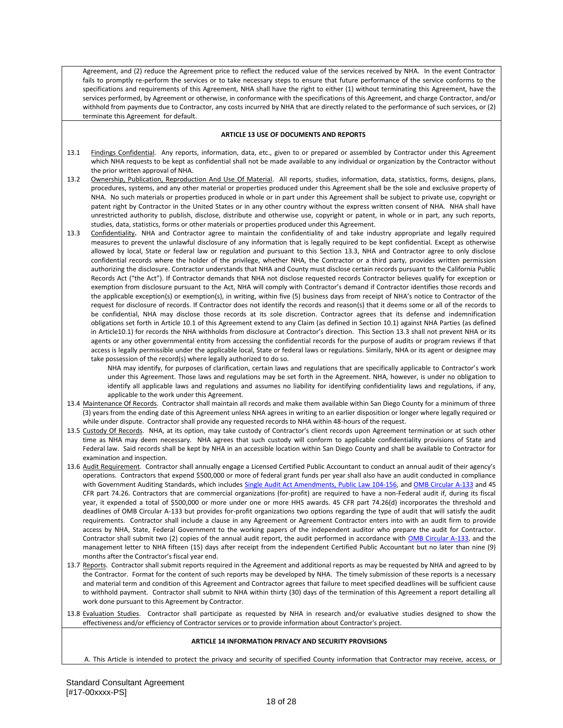Agreement, and (2) reduce the Agreement price to reflect the reduced value of the services received by NHA. In the event Contractor fails to promptly re-perform the services or to take necessary steps to ensure that future performance of the service conforms to the specifications and requirements of this Agreement, NHA shall have the right to either (1) without terminating this Agreement, have the services performed, by Agreement or otherwise, in conformance with the specifications of this Agreement, and charge Contractor, and/or withhold from payments due to Contractor, any costs incurred by NHA that are directly related to the performance of such services, or (2) terminate this Agreement for default.

### **ARTICLE 13 USE OF DOCUMENTS AND REPORTS**

- 13.1 Findings Confidential. Any reports, information, data, etc., given to or prepared or assembled by Contractor under this Agreement which NHA requests to be kept as confidential shall not be made available to any individual or organization by the Contractor without the prior written approval of NHA.
- 13.2 Ownership, Publication, Reproduction And Use Of Material. All reports, studies, information, data, statistics, forms, designs, plans, procedures, systems, and any other material or properties produced under this Agreement shall be the sole and exclusive property of NHA. No such materials or properties produced in whole or in part under this Agreement shall be subject to private use, copyright or patent right by Contractor in the United States or in any other country without the express written consent of NHA. NHA shall have unrestricted authority to publish, disclose, distribute and otherwise use, copyright or patent, in whole or in part, any such reports, studies, data, statistics, forms or other materials or properties produced under this Agreement.
- 13.3 Confidentiality**.** NHA and Contractor agree to maintain the confidentiality of and take industry appropriate and legally required measures to prevent the unlawful disclosure of any information that is legally required to be kept confidential. Except as otherwise allowed by local, State or federal law or regulation and pursuant to this Section 13.3, NHA and Contractor agree to only disclose confidential records where the holder of the privilege, whether NHA, the Contractor or a third party, provides written permission authorizing the disclosure. Contractor understands that NHA and County must disclose certain records pursuant to the California Public Records Act ("the Act"). If Contractor demands that NHA not disclose requested records Contractor believes qualify for exception or exemption from disclosure pursuant to the Act, NHA will comply with Contractor's demand if Contractor identifies those records and the applicable exception(s) or exemption(s), in writing, within five (5) business days from receipt of NHA's notice to Contractor of the request for disclosure of records. If Contractor does not identify the records and reason(s) that it deems some or all of the records to be confidential, NHA may disclose those records at its sole discretion. Contractor agrees that its defense and indemnification obligations set forth in Article 10.1 of this Agreement extend to any Claim (as defined in Section 10.1) against NHA Parties (as defined in Article10.1) for records the NHA withholds from disclosure at Contractor's direction. This Section 13.3 shall not prevent NHA or its agents or any other governmental entity from accessing the confidential records for the purpose of audits or program reviews if that access is legally permissible under the applicable local, State or federal laws or regulations. Similarly, NHA or its agent or designee may take possession of the record(s) where legally authorized to do so.

NHA may identify, for purposes of clarification, certain laws and regulations that are specifically applicable to Contractor's work under this Agreement. Those laws and regulations may be set forth in the Agreement. NHA, however, is under no obligation to identify all applicable laws and regulations and assumes no liability for identifying confidentiality laws and regulations, if any, applicable to the work under this Agreement.

- 13.4 Maintenance Of Records. Contractor shall maintain all records and make them available within San Diego County for a minimum of three (3) years from the ending date of this Agreement unless NHA agrees in writing to an earlier disposition or longer where legally required or while under dispute. Contractor shall provide any requested records to NHA within 48-hours of the request.
- 13.5 Custody Of Records. NHA, at its option, may take custody of Contractor's client records upon Agreement termination or at such other time as NHA may deem necessary. NHA agrees that such custody will conform to applicable confidentiality provisions of State and Federal law. Said records shall be kept by NHA in an accessible location within San Diego County and shall be available to Contractor for examination and inspection.
- 13.6 Audit Requirement. Contractor shall annually engage a Licensed Certified Public Accountant to conduct an annual audit of their agency's operations. Contractors that expend \$500,000 or more of federal grant funds per year shall also have an audit conducted in compliance with Government Auditing Standards, which include[s Single Audit Act Amendments, Public Law 104-156,](http://www.whitehouse.gov/sites/default/files/omb/assets/about_omb/104-156.pdf) an[d OMB Circular A-133](http://www.whitehouse.gov/sites/default/files/omb/assets/OMB/circulars/a133_compliance/2011/Compliance_Supplement_March-2011.pdf) and 45 CFR part 74.26. Contractors that are commercial organizations (for-profit) are required to have a non-Federal audit if, during its fiscal year, it expended a total of \$500,000 or more under one or more HHS awards. 45 CFR part 74.26(d) incorporates the threshold and deadlines of OMB Circular A-133 but provides for-profit organizations two options regarding the type of audit that will satisfy the audit requirements. Contractor shall include a clause in any Agreement or Agreement Contractor enters into with an audit firm to provide access by NHA, State, Federal Government to the working papers of the independent auditor who prepare the audit for Contractor. Contractor shall submit two (2) copies of the annual audit report, the audit performed in accordance with [OMB Circular A-133,](http://www.whitehouse.gov/sites/default/files/omb/assets/OMB/circulars/a133_compliance/2011/Compliance_Supplement_March-2011.pdf) and the management letter to NHA fifteen (15) days after receipt from the independent Certified Public Accountant but no later than nine (9) months after the Contractor's fiscal year end.
- 13.7 Reports. Contractor shall submit reports required in the Agreement and additional reports as may be requested by NHA and agreed to by the Contractor. Format for the content of such reports may be developed by NHA. The timely submission of these reports is a necessary and material term and condition of this Agreement and Contractor agrees that failure to meet specified deadlines will be sufficient cause to withhold payment. Contractor shall submit to NHA within thirty (30) days of the termination of this Agreement a report detailing all work done pursuant to this Agreement by Contractor.

13.8 Evaluation Studies. Contractor shall participate as requested by NHA in research and/or evaluative studies designed to show the effectiveness and/or efficiency of Contractor services or to provide information about Contractor's project.

### **ARTICLE 14 INFORMATION PRIVACY AND SECURITY PROVISIONS**

A. This Article is intended to protect the privacy and security of specified County information that Contractor may receive, access, or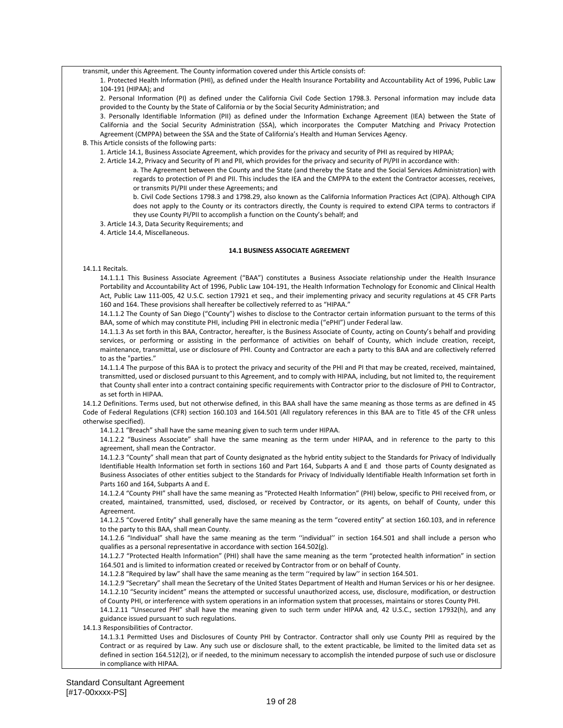transmit, under this Agreement. The County information covered under this Article consists of:

1. Protected Health Information (PHI), as defined under the Health Insurance Portability and Accountability Act of 1996, Public Law 104-191 (HIPAA); and

2. Personal Information (PI) as defined under the California Civil Code Section 1798.3. Personal information may include data provided to the County by the State of California or by the Social Security Administration; and

3. Personally Identifiable Information (PII) as defined under the Information Exchange Agreement (IEA) between the State of California and the Social Security Administration (SSA), which incorporates the Computer Matching and Privacy Protection Agreement (CMPPA) between the SSA and the State of California's Health and Human Services Agency.

B. This Article consists of the following parts:

1. Article 14.1, Business Associate Agreement, which provides for the privacy and security of PHI as required by HIPAA;

- 2. Article 14.2, Privacy and Security of PI and PII, which provides for the privacy and security of PI/PII in accordance with:
	- a. The Agreement between the County and the State (and thereby the State and the Social Services Administration) with regards to protection of PI and PII. This includes the IEA and the CMPPA to the extent the Contractor accesses, receives, or transmits PI/PII under these Agreements; and
	- b. Civil Code Sections 1798.3 and 1798.29, also known as the California Information Practices Act (CIPA). Although CIPA does not apply to the County or its contractors directly, the County is required to extend CIPA terms to contractors if they use County PI/PII to accomplish a function on the County's behalf; and

3. Article 14.3, Data Security Requirements; and

4. Article 14.4, Miscellaneous.

### **14.1 BUSINESS ASSOCIATE AGREEMENT**

14.1.1 Recitals.

14.1.1.1 This Business Associate Agreement ("BAA") constitutes a Business Associate relationship under the Health Insurance Portability and Accountability Act of 1996, Public Law 104-191, the Health Information Technology for Economic and Clinical Health Act, Public Law 111-005, 42 U.S.C. section 17921 et seq., and their implementing privacy and security regulations at 45 CFR Parts 160 and 164. These provisions shall hereafter be collectively referred to as "HIPAA."

14.1.1.2 The County of San Diego ("County") wishes to disclose to the Contractor certain information pursuant to the terms of this BAA, some of which may constitute PHI, including PHI in electronic media ("ePHI") under Federal law.

14.1.1.3 As set forth in this BAA, Contractor, hereafter, is the Business Associate of County, acting on County's behalf and providing services, or performing or assisting in the performance of activities on behalf of County, which include creation, receipt, maintenance, transmittal, use or disclosure of PHI. County and Contractor are each a party to this BAA and are collectively referred to as the "parties."

14.1.1.4 The purpose of this BAA is to protect the privacy and security of the PHI and PI that may be created, received, maintained, transmitted, used or disclosed pursuant to this Agreement, and to comply with HIPAA, including, but not limited to, the requirement that County shall enter into a contract containing specific requirements with Contractor prior to the disclosure of PHI to Contractor, as set forth in HIPAA.

14.1.2 Definitions. Terms used, but not otherwise defined, in this BAA shall have the same meaning as those terms as are defined in 45 Code of Federal Regulations (CFR) section 160.103 and 164.501 (All regulatory references in this BAA are to Title 45 of the CFR unless otherwise specified).

14.1.2.1 "Breach" shall have the same meaning given to such term under HIPAA.

14.1.2.2 "Business Associate" shall have the same meaning as the term under HIPAA, and in reference to the party to this agreement, shall mean the Contractor.

14.1.2.3 "County" shall mean that part of County designated as the hybrid entity subject to the Standards for Privacy of Individually Identifiable Health Information set forth in sections 160 and Part 164, Subparts A and E and those parts of County designated as Business Associates of other entities subject to the Standards for Privacy of Individually Identifiable Health Information set forth in Parts 160 and 164, Subparts A and E.

14.1.2.4 "County PHI" shall have the same meaning as "Protected Health Information" (PHI) below, specific to PHI received from, or created, maintained, transmitted, used, disclosed, or received by Contractor, or its agents, on behalf of County, under this Agreement.

14.1.2.5 "Covered Entity" shall generally have the same meaning as the term "covered entity" at section 160.103, and in reference to the party to this BAA, shall mean County.

14.1.2.6 "Individual" shall have the same meaning as the term ''individual'' in section 164.501 and shall include a person who qualifies as a personal representative in accordance with section 164.502(g).

14.1.2.7 "Protected Health Information" (PHI) shall have the same meaning as the term "protected health information" in section 164.501 and is limited to information created or received by Contractor from or on behalf of County.

14.1.2.8 "Required by law" shall have the same meaning as the term ''required by law'' in section 164.501.

14.1.2.9 "Secretary" shall mean the Secretary of the United States Department of Health and Human Services or his or her designee. 14.1.2.10 "Security incident" means the attempted or successful unauthorized access, use, disclosure, modification, or destruction of County PHI, or interference with system operations in an information system that processes, maintains or stores County PHI.

14.1.2.11 "Unsecured PHI" shall have the meaning given to such term under HIPAA and, 42 U.S.C., section 17932(h), and any guidance issued pursuant to such regulations.

14.1.3 Responsibilities of Contractor.

14.1.3.1 Permitted Uses and Disclosures of County PHI by Contractor. Contractor shall only use County PHI as required by the Contract or as required by Law. Any such use or disclosure shall, to the extent practicable, be limited to the limited data set as defined in section 164.512(2), or if needed, to the minimum necessary to accomplish the intended purpose of such use or disclosure in compliance with HIPAA.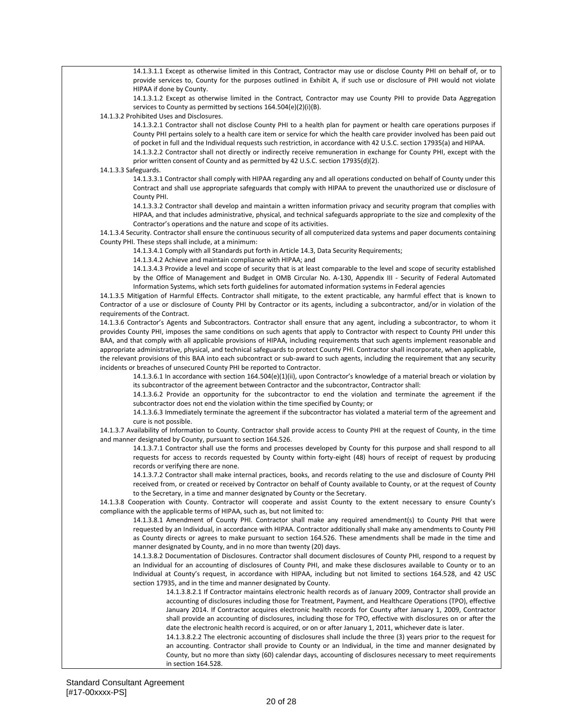14.1.3.1.1 Except as otherwise limited in this Contract, Contractor may use or disclose County PHI on behalf of, or to provide services to, County for the purposes outlined in Exhibit A, if such use or disclosure of PHI would not violate HIPAA if done by County.

14.1.3.1.2 Except as otherwise limited in the Contract, Contractor may use County PHI to provide Data Aggregation services to County as permitted by sections 164.504(e)(2)(i)(B).

14.1.3.2 Prohibited Uses and Disclosures.

14.1.3.2.1 Contractor shall not disclose County PHI to a health plan for payment or health care operations purposes if County PHI pertains solely to a health care item or service for which the health care provider involved has been paid out of pocket in full and the Individual requests such restriction, in accordance with 42 U.S.C. section 17935(a) and HIPAA.

14.1.3.2.2 Contractor shall not directly or indirectly receive remuneration in exchange for County PHI, except with the prior written consent of County and as permitted by 42 U.S.C. section 17935(d)(2).

14.1.3.3 Safeguards.

14.1.3.3.1 Contractor shall comply with HIPAA regarding any and all operations conducted on behalf of County under this Contract and shall use appropriate safeguards that comply with HIPAA to prevent the unauthorized use or disclosure of County PHI.

14.1.3.3.2 Contractor shall develop and maintain a written information privacy and security program that complies with HIPAA, and that includes administrative, physical, and technical safeguards appropriate to the size and complexity of the Contractor's operations and the nature and scope of its activities.

14.1.3.4 Security. Contractor shall ensure the continuous security of all computerized data systems and paper documents containing County PHI. These steps shall include, at a minimum:

14.1.3.4.1 Comply with all Standards put forth in Article 14.3, Data Security Requirements;

14.1.3.4.2 Achieve and maintain compliance with HIPAA; and

14.1.3.4.3 Provide a level and scope of security that is at least comparable to the level and scope of security established by the Office of Management and Budget in OMB Circular No. A-130, Appendix III - Security of Federal Automated Information Systems, which sets forth guidelines for automated information systems in Federal agencies

14.1.3.5 Mitigation of Harmful Effects. Contractor shall mitigate, to the extent practicable, any harmful effect that is known to Contractor of a use or disclosure of County PHI by Contractor or its agents, including a subcontractor, and/or in violation of the requirements of the Contract.

14.1.3.6 Contractor's Agents and Subcontractors. Contractor shall ensure that any agent, including a subcontractor, to whom it provides County PHI, imposes the same conditions on such agents that apply to Contractor with respect to County PHI under this BAA, and that comply with all applicable provisions of HIPAA, including requirements that such agents implement reasonable and appropriate administrative, physical, and technical safeguards to protect County PHI. Contractor shall incorporate, when applicable, the relevant provisions of this BAA into each subcontract or sub-award to such agents, including the requirement that any security incidents or breaches of unsecured County PHI be reported to Contractor.

14.1.3.6.1 In accordance with section 164.504(e)(1)(ii), upon Contractor's knowledge of a material breach or violation by its subcontractor of the agreement between Contractor and the subcontractor, Contractor shall:

14.1.3.6.2 Provide an opportunity for the subcontractor to end the violation and terminate the agreement if the subcontractor does not end the violation within the time specified by County; or

14.1.3.6.3 Immediately terminate the agreement if the subcontractor has violated a material term of the agreement and cure is not possible.

14.1.3.7 Availability of Information to County. Contractor shall provide access to County PHI at the request of County, in the time and manner designated by County, pursuant to section 164.526.

14.1.3.7.1 Contractor shall use the forms and processes developed by County for this purpose and shall respond to all requests for access to records requested by County within forty-eight (48) hours of receipt of request by producing records or verifying there are none.

14.1.3.7.2 Contractor shall make internal practices, books, and records relating to the use and disclosure of County PHI received from, or created or received by Contractor on behalf of County available to County, or at the request of County to the Secretary, in a time and manner designated by County or the Secretary.

14.1.3.8 Cooperation with County. Contractor will cooperate and assist County to the extent necessary to ensure County's compliance with the applicable terms of HIPAA, such as, but not limited to:

14.1.3.8.1 Amendment of County PHI. Contractor shall make any required amendment(s) to County PHI that were requested by an Individual, in accordance with HIPAA. Contractor additionally shall make any amendments to County PHI as County directs or agrees to make pursuant to section 164.526. These amendments shall be made in the time and manner designated by County, and in no more than twenty (20) days.

14.1.3.8.2 Documentation of Disclosures. Contractor shall document disclosures of County PHI, respond to a request by an Individual for an accounting of disclosures of County PHI, and make these disclosures available to County or to an Individual at County's request, in accordance with HIPAA, including but not limited to sections 164.528, and 42 USC section 17935, and in the time and manner designated by County.

14.1.3.8.2.1 If Contractor maintains electronic health records as of January 2009, Contractor shall provide an accounting of disclosures including those for Treatment, Payment, and Healthcare Operations (TPO), effective January 2014. If Contractor acquires electronic health records for County after January 1, 2009, Contractor shall provide an accounting of disclosures, including those for TPO, effective with disclosures on or after the date the electronic health record is acquired, or on or after January 1, 2011, whichever date is later.

14.1.3.8.2.2 The electronic accounting of disclosures shall include the three (3) years prior to the request for an accounting. Contractor shall provide to County or an Individual, in the time and manner designated by County, but no more than sixty (60) calendar days, accounting of disclosures necessary to meet requirements in section 164.528.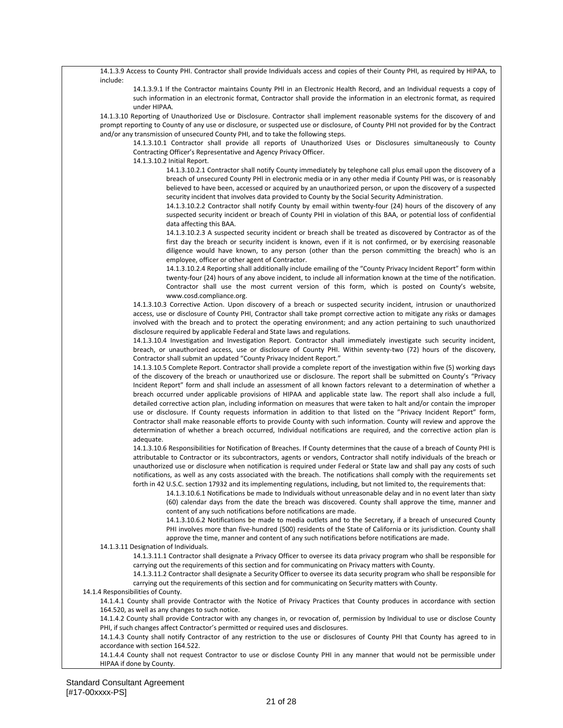14.1.3.9 Access to County PHI. Contractor shall provide Individuals access and copies of their County PHI, as required by HIPAA, to include:

14.1.3.9.1 If the Contractor maintains County PHI in an Electronic Health Record, and an Individual requests a copy of such information in an electronic format, Contractor shall provide the information in an electronic format, as required under HIPAA.

14.1.3.10 Reporting of Unauthorized Use or Disclosure. Contractor shall implement reasonable systems for the discovery of and prompt reporting to County of any use or disclosure, or suspected use or disclosure, of County PHI not provided for by the Contract and/or any transmission of unsecured County PHI, and to take the following steps.

14.1.3.10.1 Contractor shall provide all reports of Unauthorized Uses or Disclosures simultaneously to County Contracting Officer's Representative and Agency Privacy Officer.

14.1.3.10.2 Initial Report.

14.1.3.10.2.1 Contractor shall notify County immediately by telephone call plus email upon the discovery of a breach of unsecured County PHI in electronic media or in any other media if County PHI was, or is reasonably believed to have been, accessed or acquired by an unauthorized person, or upon the discovery of a suspected security incident that involves data provided to County by the Social Security Administration.

14.1.3.10.2.2 Contractor shall notify County by email within twenty-four (24) hours of the discovery of any suspected security incident or breach of County PHI in violation of this BAA, or potential loss of confidential data affecting this BAA.

14.1.3.10.2.3 A suspected security incident or breach shall be treated as discovered by Contractor as of the first day the breach or security incident is known, even if it is not confirmed, or by exercising reasonable diligence would have known, to any person (other than the person committing the breach) who is an employee, officer or other agent of Contractor.

14.1.3.10.2.4 Reporting shall additionally include emailing of the "County Privacy Incident Report" form within twenty-four (24) hours of any above incident, to include all information known at the time of the notification. Contractor shall use the most current version of this form, which is posted on County's website, www.cosd.compliance.org.

14.1.3.10.3 Corrective Action. Upon discovery of a breach or suspected security incident, intrusion or unauthorized access, use or disclosure of County PHI, Contractor shall take prompt corrective action to mitigate any risks or damages involved with the breach and to protect the operating environment; and any action pertaining to such unauthorized disclosure required by applicable Federal and State laws and regulations.

14.1.3.10.4 Investigation and Investigation Report. Contractor shall immediately investigate such security incident, breach, or unauthorized access, use or disclosure of County PHI. Within seventy-two (72) hours of the discovery, Contractor shall submit an updated "County Privacy Incident Report."

14.1.3.10.5 Complete Report. Contractor shall provide a complete report of the investigation within five (5) working days of the discovery of the breach or unauthorized use or disclosure. The report shall be submitted on County's "Privacy Incident Report" form and shall include an assessment of all known factors relevant to a determination of whether a breach occurred under applicable provisions of HIPAA and applicable state law. The report shall also include a full, detailed corrective action plan, including information on measures that were taken to halt and/or contain the improper use or disclosure. If County requests information in addition to that listed on the "Privacy Incident Report" form, Contractor shall make reasonable efforts to provide County with such information. County will review and approve the determination of whether a breach occurred, Individual notifications are required, and the corrective action plan is adequate.

14.1.3.10.6 Responsibilities for Notification of Breaches. If County determines that the cause of a breach of County PHI is attributable to Contractor or its subcontractors, agents or vendors, Contractor shall notify individuals of the breach or unauthorized use or disclosure when notification is required under Federal or State law and shall pay any costs of such notifications, as well as any costs associated with the breach. The notifications shall comply with the requirements set forth in 42 U.S.C. section 17932 and its implementing regulations, including, but not limited to, the requirements that:

14.1.3.10.6.1 Notifications be made to Individuals without unreasonable delay and in no event later than sixty (60) calendar days from the date the breach was discovered. County shall approve the time, manner and content of any such notifications before notifications are made.

14.1.3.10.6.2 Notifications be made to media outlets and to the Secretary, if a breach of unsecured County PHI involves more than five-hundred (500) residents of the State of California or its jurisdiction. County shall approve the time, manner and content of any such notifications before notifications are made.

14.1.3.11 Designation of Individuals.

14.1.3.11.1 Contractor shall designate a Privacy Officer to oversee its data privacy program who shall be responsible for carrying out the requirements of this section and for communicating on Privacy matters with County.

14.1.3.11.2 Contractor shall designate a Security Officer to oversee its data security program who shall be responsible for carrying out the requirements of this section and for communicating on Security matters with County.

14.1.4 Responsibilities of County.

14.1.4.1 County shall provide Contractor with the Notice of Privacy Practices that County produces in accordance with section 164.520, as well as any changes to such notice.

14.1.4.2 County shall provide Contractor with any changes in, or revocation of, permission by Individual to use or disclose County PHI, if such changes affect Contractor's permitted or required uses and disclosures.

14.1.4.3 County shall notify Contractor of any restriction to the use or disclosures of County PHI that County has agreed to in accordance with section 164.522.

14.1.4.4 County shall not request Contractor to use or disclose County PHI in any manner that would not be permissible under HIPAA if done by County.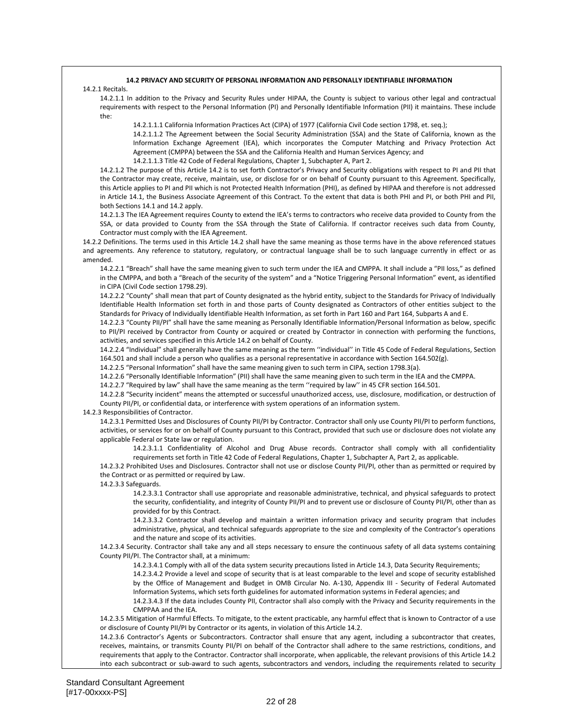### **14.2 PRIVACY AND SECURITY OF PERSONAL INFORMATION AND PERSONALLY IDENTIFIABLE INFORMATION**

### 14.2.1 Recitals.

14.2.1.1 In addition to the Privacy and Security Rules under HIPAA, the County is subject to various other legal and contractual requirements with respect to the Personal Information (PI) and Personally Identifiable Information (PII) it maintains. These include the:

14.2.1.1.1 California Information Practices Act (CIPA) of 1977 (California Civil Code section 1798, et. seq.);

14.2.1.1.2 The Agreement between the Social Security Administration (SSA) and the State of California, known as the Information Exchange Agreement (IEA), which incorporates the Computer Matching and Privacy Protection Act Agreement (CMPPA) between the SSA and the California Health and Human Services Agency; and

14.2.1.1.3 Title 42 Code of Federal Regulations, Chapter 1, Subchapter A, Part 2.

14.2.1.2 The purpose of this Article 14.2 is to set forth Contractor's Privacy and Security obligations with respect to PI and PII that the Contractor may create, receive, maintain, use, or disclose for or on behalf of County pursuant to this Agreement. Specifically, this Article applies to PI and PII which is not Protected Health Information (PHI), as defined by HIPAA and therefore is not addressed in Article 14.1, the Business Associate Agreement of this Contract. To the extent that data is both PHI and PI, or both PHI and PII, both Sections 14.1 and 14.2 apply.

14.2.1.3 The IEA Agreement requires County to extend the IEA's terms to contractors who receive data provided to County from the SSA, or data provided to County from the SSA through the State of California. If contractor receives such data from County, Contractor must comply with the IEA Agreement.

14.2.2 Definitions. The terms used in this Article 14.2 shall have the same meaning as those terms have in the above referenced statues and agreements. Any reference to statutory, regulatory, or contractual language shall be to such language currently in effect or as amended.

14.2.2.1 "Breach" shall have the same meaning given to such term under the IEA and CMPPA. It shall include a "PII loss," as defined in the CMPPA, and both a "Breach of the security of the system" and a "Notice Triggering Personal Information" event, as identified in CIPA (Civil Code section 1798.29).

14.2.2.2 "County" shall mean that part of County designated as the hybrid entity, subject to the Standards for Privacy of Individually Identifiable Health Information set forth in and those parts of County designated as Contractors of other entities subject to the Standards for Privacy of Individually Identifiable Health Information, as set forth in Part 160 and Part 164, Subparts A and E.

14.2.2.3 "County PII/PI" shall have the same meaning as Personally Identifiable Information/Personal Information as below, specific to PII/PI received by Contractor from County or acquired or created by Contractor in connection with performing the functions, activities, and services specified in this Article 14.2 on behalf of County.

14.2.2.4 "Individual" shall generally have the same meaning as the term ''individual'' in Title 45 Code of Federal Regulations, Section 164.501 and shall include a person who qualifies as a personal representative in accordance with Section 164.502(g).

14.2.2.5 "Personal Information" shall have the same meaning given to such term in CIPA, section 1798.3(a).

14.2.2.6 "Personally Identifiable Information" (PII) shall have the same meaning given to such term in the IEA and the CMPPA.

14.2.2.7 "Required by law" shall have the same meaning as the term ''required by law'' in 45 CFR section 164.501.

14.2.2.8 "Security incident" means the attempted or successful unauthorized access, use, disclosure, modification, or destruction of County PII/PI, or confidential data, or interference with system operations of an information system.

### 14.2.3 Responsibilities of Contractor.

14.2.3.1 Permitted Uses and Disclosures of County PII/PI by Contractor. Contractor shall only use County PII/PI to perform functions, activities, or services for or on behalf of County pursuant to this Contract, provided that such use or disclosure does not violate any applicable Federal or State law or regulation.

14.2.3.1.1 Confidentiality of Alcohol and Drug Abuse records. Contractor shall comply with all confidentiality requirements set forth in Title 42 Code of Federal Regulations, Chapter 1, Subchapter A, Part 2, as applicable.

14.2.3.2 Prohibited Uses and Disclosures. Contractor shall not use or disclose County PII/PI, other than as permitted or required by the Contract or as permitted or required by Law.

14.2.3.3 Safeguards.

14.2.3.3.1 Contractor shall use appropriate and reasonable administrative, technical, and physical safeguards to protect the security, confidentiality, and integrity of County PII/PI and to prevent use or disclosure of County PII/PI, other than as provided for by this Contract.

14.2.3.3.2 Contractor shall develop and maintain a written information privacy and security program that includes administrative, physical, and technical safeguards appropriate to the size and complexity of the Contractor's operations and the nature and scope of its activities.

14.2.3.4 Security. Contractor shall take any and all steps necessary to ensure the continuous safety of all data systems containing County PII/PI. The Contractor shall, at a minimum:

14.2.3.4.1 Comply with all of the data system security precautions listed in Article 14.3, Data Security Requirements;

14.2.3.4.2 Provide a level and scope of security that is at least comparable to the level and scope of security established by the Office of Management and Budget in OMB Circular No. A-130, Appendix III - Security of Federal Automated Information Systems, which sets forth guidelines for automated information systems in Federal agencies; and

14.2.3.4.3 If the data includes County PII, Contractor shall also comply with the Privacy and Security requirements in the CMPPAA and the IEA.

14.2.3.5 Mitigation of Harmful Effects. To mitigate, to the extent practicable, any harmful effect that is known to Contractor of a use or disclosure of County PII/PI by Contractor or its agents, in violation of this Article 14.2.

14.2.3.6 Contractor's Agents or Subcontractors. Contractor shall ensure that any agent, including a subcontractor that creates, receives, maintains, or transmits County PII/PI on behalf of the Contractor shall adhere to the same restrictions, conditions, and requirements that apply to the Contractor. Contractor shall incorporate, when applicable, the relevant provisions of this Article 14.2 into each subcontract or sub-award to such agents, subcontractors and vendors, including the requirements related to security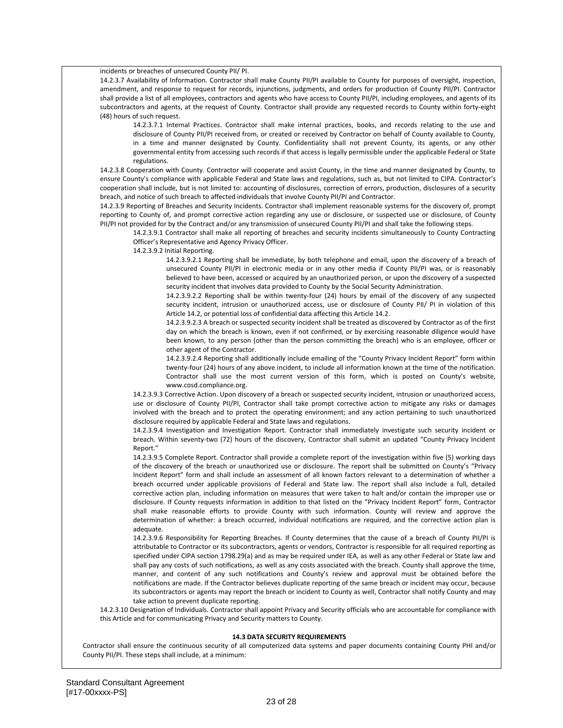incidents or breaches of unsecured County PII/ PI.

14.2.3.7 Availability of Information. Contractor shall make County PII/PI available to County for purposes of oversight, inspection, amendment, and response to request for records, injunctions, judgments, and orders for production of County PII/PI. Contractor shall provide a list of all employees, contractors and agents who have access to County PII/PI, including employees, and agents of its subcontractors and agents, at the request of County. Contractor shall provide any requested records to County within forty-eight (48) hours of such request.

14.2.3.7.1 Internal Practices. Contractor shall make internal practices, books, and records relating to the use and disclosure of County PII/PI received from, or created or received by Contractor on behalf of County available to County, in a time and manner designated by County. Confidentiality shall not prevent County, its agents, or any other governmental entity from accessing such records if that access is legally permissible under the applicable Federal or State regulations.

14.2.3.8 Cooperation with County. Contractor will cooperate and assist County, in the time and manner designated by County, to ensure County's compliance with applicable Federal and State laws and regulations, such as, but not limited to CIPA. Contractor's cooperation shall include, but is not limited to: accounting of disclosures, correction of errors, production, disclosures of a security breach, and notice of such breach to affected individuals that involve County PII/PI and Contractor.

14.2.3.9 Reporting of Breaches and Security Incidents. Contractor shall implement reasonable systems for the discovery of, prompt reporting to County of, and prompt corrective action regarding any use or disclosure, or suspected use or disclosure, of County PII/PI not provided for by the Contract and/or any transmission of unsecured County PII/PI and shall take the following steps.

14.2.3.9.1 Contractor shall make all reporting of breaches and security incidents simultaneously to County Contracting Officer's Representative and Agency Privacy Officer.

14.2.3.9.2 Initial Reporting.

14.2.3.9.2.1 Reporting shall be immediate, by both telephone and email, upon the discovery of a breach of unsecured County PII/PI in electronic media or in any other media if County PII/PI was, or is reasonably believed to have been, accessed or acquired by an unauthorized person, or upon the discovery of a suspected security incident that involves data provided to County by the Social Security Administration.

14.2.3.9.2.2 Reporting shall be within twenty-four (24) hours by email of the discovery of any suspected security incident, intrusion or unauthorized access, use or disclosure of County PII/ PI in violation of this Article 14.2, or potential loss of confidential data affecting this Article 14.2.

14.2.3.9.2.3 A breach or suspected security incident shall be treated as discovered by Contractor as of the first day on which the breach is known, even if not confirmed, or by exercising reasonable diligence would have been known, to any person (other than the person committing the breach) who is an employee, officer or other agent of the Contractor.

14.2.3.9.2.4 Reporting shall additionally include emailing of the "County Privacy Incident Report" form within twenty-four (24) hours of any above incident, to include all information known at the time of the notification. Contractor shall use the most current version of this form, which is posted on County's website, www.cosd.compliance.org.

14.2.3.9.3 Corrective Action. Upon discovery of a breach or suspected security incident, intrusion or unauthorized access, use or disclosure of County PII/PI, Contractor shall take prompt corrective action to mitigate any risks or damages involved with the breach and to protect the operating environment; and any action pertaining to such unauthorized disclosure required by applicable Federal and State laws and regulations.

14.2.3.9.4 Investigation and Investigation Report. Contractor shall immediately investigate such security incident or breach. Within seventy-two (72) hours of the discovery, Contractor shall submit an updated "County Privacy Incident Report."

14.2.3.9.5 Complete Report. Contractor shall provide a complete report of the investigation within five (5) working days of the discovery of the breach or unauthorized use or disclosure. The report shall be submitted on County's "Privacy Incident Report" form and shall include an assessment of all known factors relevant to a determination of whether a breach occurred under applicable provisions of Federal and State law. The report shall also include a full, detailed corrective action plan, including information on measures that were taken to halt and/or contain the improper use or disclosure. If County requests information in addition to that listed on the "Privacy Incident Report" form, Contractor shall make reasonable efforts to provide County with such information. County will review and approve the determination of whether: a breach occurred, individual notifications are required, and the corrective action plan is adequate.

14.2.3.9.6 Responsibility for Reporting Breaches. If County determines that the cause of a breach of County PII/PI is attributable to Contractor or its subcontractors, agents or vendors, Contractor is responsible for all required reporting as specified under CIPA section 1798.29(a) and as may be required under IEA, as well as any other Federal or State law and shall pay any costs of such notifications, as well as any costs associated with the breach. County shall approve the time, manner, and content of any such notifications and County's review and approval must be obtained before the notifications are made. If the Contractor believes duplicate reporting of the same breach or incident may occur, because its subcontractors or agents may report the breach or incident to County as well, Contractor shall notify County and may take action to prevent duplicate reporting.

14.2.3.10 Designation of Individuals. Contractor shall appoint Privacy and Security officials who are accountable for compliance with this Article and for communicating Privacy and Security matters to County.

### **14.3 DATA SECURITY REQUIREMENTS**

Contractor shall ensure the continuous security of all computerized data systems and paper documents containing County PHI and/or County PII/PI. These steps shall include, at a minimum: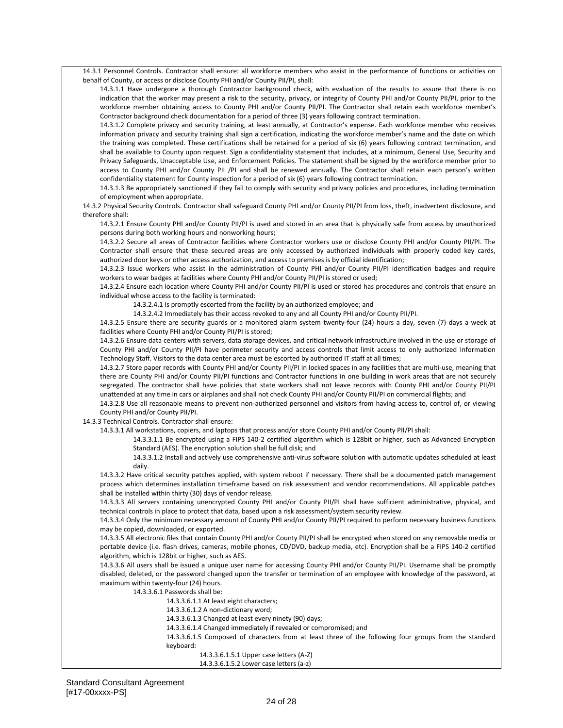14.3.1 Personnel Controls. Contractor shall ensure: all workforce members who assist in the performance of functions or activities on behalf of County, or access or disclose County PHI and/or County PII/PI, shall:

14.3.1.1 Have undergone a thorough Contractor background check, with evaluation of the results to assure that there is no indication that the worker may present a risk to the security, privacy, or integrity of County PHI and/or County PII/PI, prior to the workforce member obtaining access to County PHI and/or County PII/PI. The Contractor shall retain each workforce member's Contractor background check documentation for a period of three (3) years following contract termination.

14.3.1.2 Complete privacy and security training, at least annually, at Contractor's expense. Each workforce member who receives information privacy and security training shall sign a certification, indicating the workforce member's name and the date on which the training was completed. These certifications shall be retained for a period of six (6) years following contract termination, and shall be available to County upon request. Sign a confidentiality statement that includes, at a minimum, General Use, Security and Privacy Safeguards, Unacceptable Use, and Enforcement Policies. The statement shall be signed by the workforce member prior to access to County PHI and/or County PII /PI and shall be renewed annually. The Contractor shall retain each person's written confidentiality statement for County inspection for a period of six (6) years following contract termination.

14.3.1.3 Be appropriately sanctioned if they fail to comply with security and privacy policies and procedures, including termination of employment when appropriate.

14.3.2 Physical Security Controls. Contractor shall safeguard County PHI and/or County PII/PI from loss, theft, inadvertent disclosure, and therefore shall:

14.3.2.1 Ensure County PHI and/or County PII/PI is used and stored in an area that is physically safe from access by unauthorized persons during both working hours and nonworking hours;

14.3.2.2 Secure all areas of Contractor facilities where Contractor workers use or disclose County PHI and/or County PII/PI. The Contractor shall ensure that these secured areas are only accessed by authorized individuals with properly coded key cards, authorized door keys or other access authorization, and access to premises is by official identification;

14.3.2.3 Issue workers who assist in the administration of County PHI and/or County PII/PI identification badges and require workers to wear badges at facilities where County PHI and/or County PII/PI is stored or used;

14.3.2.4 Ensure each location where County PHI and/or County PII/PI is used or stored has procedures and controls that ensure an individual whose access to the facility is terminated:

14.3.2.4.1 Is promptly escorted from the facility by an authorized employee; and

14.3.2.4.2 Immediately has their access revoked to any and all County PHI and/or County PII/PI.

14.3.2.5 Ensure there are security guards or a monitored alarm system twenty-four (24) hours a day, seven (7) days a week at facilities where County PHI and/or County PII/PI is stored;

14.3.2.6 Ensure data centers with servers, data storage devices, and critical network infrastructure involved in the use or storage of County PHI and/or County PII/PI have perimeter security and access controls that limit access to only authorized Information Technology Staff. Visitors to the data center area must be escorted by authorized IT staff at all times;

14.3.2.7 Store paper records with County PHI and/or County PII/PI in locked spaces in any facilities that are multi-use, meaning that there are County PHI and/or County PII/PI functions and Contractor functions in one building in work areas that are not securely segregated. The contractor shall have policies that state workers shall not leave records with County PHI and/or County PII/PI unattended at any time in cars or airplanes and shall not check County PHI and/or County PII/PI on commercial flights; and

14.3.2.8 Use all reasonable means to prevent non-authorized personnel and visitors from having access to, control of, or viewing County PHI and/or County PII/PI.

14.3.3 Technical Controls. Contractor shall ensure:

14.3.3.1 All workstations, copiers, and laptops that process and/or store County PHI and/or County PII/PI shall:

14.3.3.1.1 Be encrypted using a FIPS 140-2 certified algorithm which is 128bit or higher, such as Advanced Encryption Standard (AES). The encryption solution shall be full disk; and

14.3.3.1.2 Install and actively use comprehensive anti-virus software solution with automatic updates scheduled at least daily.

14.3.3.2 Have critical security patches applied, with system reboot if necessary. There shall be a documented patch management process which determines installation timeframe based on risk assessment and vendor recommendations. All applicable patches shall be installed within thirty (30) days of vendor release.

14.3.3.3 All servers containing unencrypted County PHI and/or County PII/PI shall have sufficient administrative, physical, and technical controls in place to protect that data, based upon a risk assessment/system security review.

14.3.3.4 Only the minimum necessary amount of County PHI and/or County PII/PI required to perform necessary business functions may be copied, downloaded, or exported.

14.3.3.5 All electronic files that contain County PHI and/or County PII/PI shall be encrypted when stored on any removable media or portable device (i.e. flash drives, cameras, mobile phones, CD/DVD, backup media, etc). Encryption shall be a FIPS 140-2 certified algorithm, which is 128bit or higher, such as AES.

14.3.3.6 All users shall be issued a unique user name for accessing County PHI and/or County PII/PI. Username shall be promptly disabled, deleted, or the password changed upon the transfer or termination of an employee with knowledge of the password, at maximum within twenty-four (24) hours.

14.3.3.6.1 Passwords shall be:

14.3.3.6.1.1 At least eight characters;

14.3.3.6.1.2 A non-dictionary word;

14.3.3.6.1.3 Changed at least every ninety (90) days;

14.3.3.6.1.4 Changed immediately if revealed or compromised; and

14.3.3.6.1.5 Composed of characters from at least three of the following four groups from the standard keyboard:

14.3.3.6.1.5.1 Upper case letters (A-Z)

14.3.3.6.1.5.2 Lower case letters (a-z)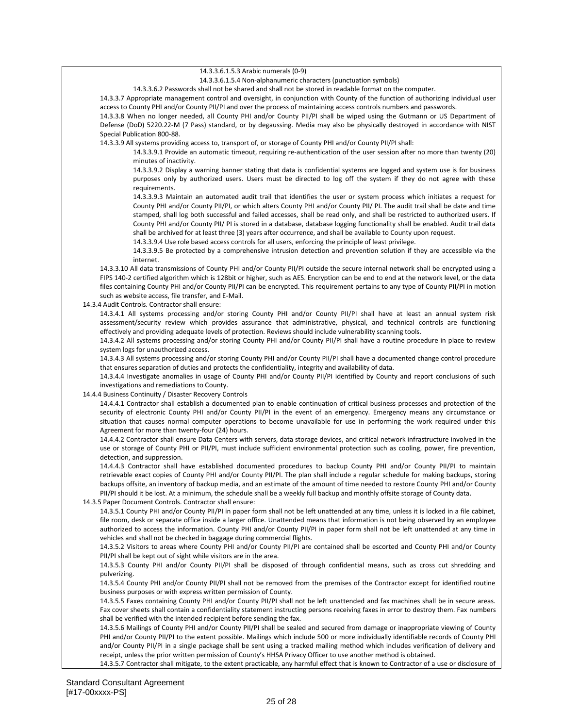| 14.3.3.6.1.5.3 Arabic numerals (0-9)                                                                                                    |
|-----------------------------------------------------------------------------------------------------------------------------------------|
| 14.3.3.6.1.5.4 Non-alphanumeric characters (punctuation symbols)                                                                        |
| 14.3.3.6.2 Passwords shall not be shared and shall not be stored in readable format on the computer.                                    |
| 14.3.3.7 Appropriate management control and oversight, in conjunction with County of the function of authorizing individual user        |
| access to County PHI and/or County PII/PI and over the process of maintaining access controls numbers and passwords.                    |
| 14.3.3.8 When no longer needed, all County PHI and/or County PII/PI shall be wiped using the Gutmann or US Department of                |
| Defense (DoD) 5220.22-M (7 Pass) standard, or by degaussing. Media may also be physically destroyed in accordance with NIST             |
| Special Publication 800-88.                                                                                                             |
| 14.3.3.9 All systems providing access to, transport of, or storage of County PHI and/or County PII/PI shall:                            |
|                                                                                                                                         |
| 14.3.3.9.1 Provide an automatic timeout, requiring re-authentication of the user session after no more than twenty (20)                 |
| minutes of inactivity.                                                                                                                  |
| 14.3.3.9.2 Display a warning banner stating that data is confidential systems are logged and system use is for business                 |
| purposes only by authorized users. Users must be directed to log off the system if they do not agree with these                         |
| requirements.                                                                                                                           |
| 14.3.3.9.3 Maintain an automated audit trail that identifies the user or system process which initiates a request for                   |
| County PHI and/or County PII/PI, or which alters County PHI and/or County PII/ PI. The audit trail shall be date and time               |
| stamped, shall log both successful and failed accesses, shall be read only, and shall be restricted to authorized users. If             |
| County PHI and/or County PII/ PI is stored in a database, database logging functionality shall be enabled. Audit trail data             |
| shall be archived for at least three (3) years after occurrence, and shall be available to County upon request.                         |
| 14.3.3.9.4 Use role based access controls for all users, enforcing the principle of least privilege.                                    |
| 14.3.3.9.5 Be protected by a comprehensive intrusion detection and prevention solution if they are accessible via the                   |
| internet.                                                                                                                               |
|                                                                                                                                         |
| 14.3.3.10 All data transmissions of County PHI and/or County PII/PI outside the secure internal network shall be encrypted using a      |
| FIPS 140-2 certified algorithm which is 128bit or higher, such as AES. Encryption can be end to end at the network level, or the data   |
| files containing County PHI and/or County PII/PI can be encrypted. This requirement pertains to any type of County PII/PI in motion     |
| such as website access, file transfer, and E-Mail.                                                                                      |
| 14.3.4 Audit Controls. Contractor shall ensure:                                                                                         |
| 14.3.4.1 All systems processing and/or storing County PHI and/or County PII/PI shall have at least an annual system risk                |
| assessment/security review which provides assurance that administrative, physical, and technical controls are functioning               |
| effectively and providing adequate levels of protection. Reviews should include vulnerability scanning tools.                           |
| 14.3.4.2 All systems processing and/or storing County PHI and/or County PII/PI shall have a routine procedure in place to review        |
| system logs for unauthorized access.                                                                                                    |
| 14.3.4.3 All systems processing and/or storing County PHI and/or County PII/PI shall have a documented change control procedure         |
| that ensures separation of duties and protects the confidentiality, integrity and availability of data.                                 |
| 14.3.4.4 Investigate anomalies in usage of County PHI and/or County PII/PI identified by County and report conclusions of such          |
| investigations and remediations to County.                                                                                              |
| 14.4.4 Business Continuity / Disaster Recovery Controls                                                                                 |
| 14.4.4.1 Contractor shall establish a documented plan to enable continuation of critical business processes and protection of the       |
| security of electronic County PHI and/or County PII/PI in the event of an emergency. Emergency means any circumstance or                |
| situation that causes normal computer operations to become unavailable for use in performing the work required under this               |
|                                                                                                                                         |
| Agreement for more than twenty-four (24) hours.                                                                                         |
| 14.4.4.2 Contractor shall ensure Data Centers with servers, data storage devices, and critical network infrastructure involved in the   |
| use or storage of County PHI or PII/PI, must include sufficient environmental protection such as cooling, power, fire prevention,       |
| detection, and suppression.                                                                                                             |
| 14.4.4.3 Contractor shall have established documented procedures to backup County PHI and/or County PII/PI to maintain                  |
| retrievable exact copies of County PHI and/or County PII/PI. The plan shall include a regular schedule for making backups, storing      |
| backups offsite, an inventory of backup media, and an estimate of the amount of time needed to restore County PHI and/or County         |
| PII/PI should it be lost. At a minimum, the schedule shall be a weekly full backup and monthly offsite storage of County data.          |
| 14.3.5 Paper Document Controls. Contractor shall ensure:                                                                                |
| 14.3.5.1 County PHI and/or County PII/PI in paper form shall not be left unattended at any time, unless it is locked in a file cabinet, |
| file room, desk or separate office inside a larger office. Unattended means that information is not being observed by an employee       |
| authorized to access the information. County PHI and/or County PII/PI in paper form shall not be left unattended at any time in         |
| vehicles and shall not be checked in baggage during commercial flights.                                                                 |
| 14.3.5.2 Visitors to areas where County PHI and/or County PII/PI are contained shall be escorted and County PHI and/or County           |
| PII/PI shall be kept out of sight while visitors are in the area.                                                                       |
| 14.3.5.3 County PHI and/or County PII/PI shall be disposed of through confidential means, such as cross cut shredding and               |
|                                                                                                                                         |
| pulverizing.                                                                                                                            |
| 14.3.5.4 County PHI and/or County PII/PI shall not be removed from the premises of the Contractor except for identified routine         |
| business purposes or with express written permission of County.                                                                         |
| 14.3.5.5 Faxes containing County PHI and/or County PII/PI shall not be left unattended and fax machines shall be in secure areas.       |
| Fax cover sheets shall contain a confidentiality statement instructing persons receiving faxes in error to destroy them. Fax numbers    |
| shall be verified with the intended recipient before sending the fax.                                                                   |
| 14.3.5.6 Mailings of County PHI and/or County PII/PI shall be sealed and secured from damage or inappropriate viewing of County         |
| PHI and/or County PII/PI to the extent possible. Mailings which include 500 or more individually identifiable records of County PHI     |
| and/or County PII/PI in a single package shall be sent using a tracked mailing method which includes verification of delivery and       |
| receipt, unless the prior written permission of County's HHSA Privacy Officer to use another method is obtained.                        |

14.3.5.7 Contractor shall mitigate, to the extent practicable, any harmful effect that is known to Contractor of a use or disclosure of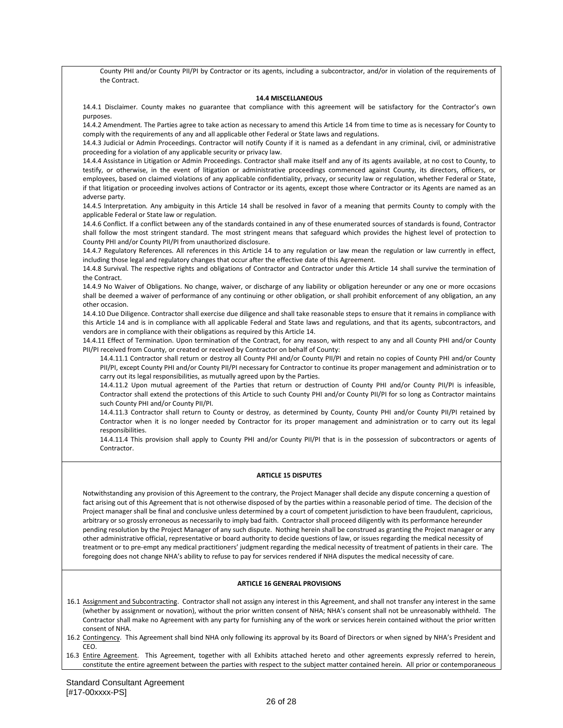County PHI and/or County PII/PI by Contractor or its agents, including a subcontractor, and/or in violation of the requirements of the Contract.

### **14.4 MISCELLANEOUS**

14.4.1 Disclaimer. County makes no guarantee that compliance with this agreement will be satisfactory for the Contractor's own purposes.

14.4.2 Amendment*.* The Parties agree to take action as necessary to amend this Article 14 from time to time as is necessary for County to comply with the requirements of any and all applicable other Federal or State laws and regulations.

14.4.3 Judicial or Admin Proceedings. Contractor will notify County if it is named as a defendant in any criminal, civil, or administrative proceeding for a violation of any applicable security or privacy law.

14.4.4 Assistance in Litigation or Admin Proceedings. Contractor shall make itself and any of its agents available, at no cost to County, to testify, or otherwise, in the event of litigation or administrative proceedings commenced against County, its directors, officers, or employees, based on claimed violations of any applicable confidentiality, privacy, or security law or regulation, whether Federal or State, if that litigation or proceeding involves actions of Contractor or its agents, except those where Contractor or its Agents are named as an adverse party.

14.4.5 Interpretation*.* Any ambiguity in this Article 14 shall be resolved in favor of a meaning that permits County to comply with the applicable Federal or State law or regulation.

14.4.6 Conflict. If a conflict between any of the standards contained in any of these enumerated sources of standards is found, Contractor shall follow the most stringent standard. The most stringent means that safeguard which provides the highest level of protection to County PHI and/or County PII/PI from unauthorized disclosure.

14.4.7 Regulatory References*.* All references in this Article 14 to any regulation or law mean the regulation or law currently in effect, including those legal and regulatory changes that occur after the effective date of this Agreement.

14.4.8 Survival*.* The respective rights and obligations of Contractor and Contractor under this Article 14 shall survive the termination of the Contract.

14.4.9 No Waiver of Obligations. No change, waiver, or discharge of any liability or obligation hereunder or any one or more occasions shall be deemed a waiver of performance of any continuing or other obligation, or shall prohibit enforcement of any obligation, an any other occasion.

14.4.10 Due Diligence. Contractor shall exercise due diligence and shall take reasonable steps to ensure that it remains in compliance with this Article 14 and is in compliance with all applicable Federal and State laws and regulations, and that its agents, subcontractors, and vendors are in compliance with their obligations as required by this Article 14.

14.4.11 Effect of Termination. Upon termination of the Contract, for any reason, with respect to any and all County PHI and/or County PII/PI received from County, or created or received by Contractor on behalf of County:

14.4.11.1 Contractor shall return or destroy all County PHI and/or County PII/PI and retain no copies of County PHI and/or County PII/PI, except County PHI and/or County PII/PI necessary for Contractor to continue its proper management and administration or to carry out its legal responsibilities, as mutually agreed upon by the Parties.

14.4.11.2 Upon mutual agreement of the Parties that return or destruction of County PHI and/or County PII/PI is infeasible, Contractor shall extend the protections of this Article to such County PHI and/or County PII/PI for so long as Contractor maintains such County PHI and/or County PII/PI.

14.4.11.3 Contractor shall return to County or destroy, as determined by County, County PHI and/or County PII/PI retained by Contractor when it is no longer needed by Contractor for its proper management and administration or to carry out its legal responsibilities.

14.4.11.4 This provision shall apply to County PHI and/or County PII/PI that is in the possession of subcontractors or agents of Contractor.

### **ARTICLE 15 DISPUTES**

Notwithstanding any provision of this Agreement to the contrary, the Project Manager shall decide any dispute concerning a question of fact arising out of this Agreement that is not otherwise disposed of by the parties within a reasonable period of time. The decision of the Project manager shall be final and conclusive unless determined by a court of competent jurisdiction to have been fraudulent, capricious, arbitrary or so grossly erroneous as necessarily to imply bad faith. Contractor shall proceed diligently with its performance hereunder pending resolution by the Project Manager of any such dispute. Nothing herein shall be construed as granting the Project manager or any other administrative official, representative or board authority to decide questions of law, or issues regarding the medical necessity of treatment or to pre-empt any medical practitioners' judgment regarding the medical necessity of treatment of patients in their care. The foregoing does not change NHA's ability to refuse to pay for services rendered if NHA disputes the medical necessity of care.

### **ARTICLE 16 GENERAL PROVISIONS**

16.1 Assignment and Subcontracting. Contractor shall not assign any interest in this Agreement, and shall not transfer any interest in the same (whether by assignment or novation), without the prior written consent of NHA; NHA's consent shall not be unreasonably withheld. The Contractor shall make no Agreement with any party for furnishing any of the work or services herein contained without the prior written consent of NHA.

16.2 Contingency. This Agreement shall bind NHA only following its approval by its Board of Directors or when signed by NHA's President and CEO.

16.3 Entire Agreement. This Agreement, together with all Exhibits attached hereto and other agreements expressly referred to herein, constitute the entire agreement between the parties with respect to the subject matter contained herein. All prior or contemporaneous

Standard Consultant Agreement [#17-00xxxx-PS]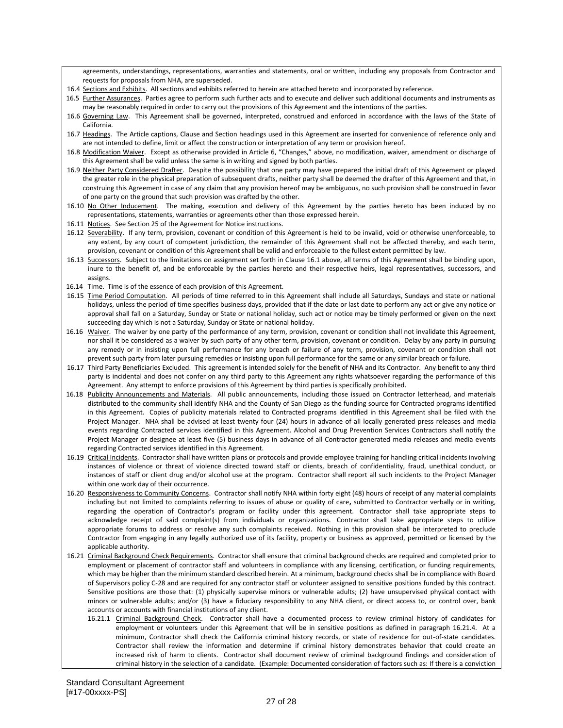agreements, understandings, representations, warranties and statements, oral or written, including any proposals from Contractor and requests for proposals from NHA, are superseded.

- 16.4 Sections and Exhibits. All sections and exhibits referred to herein are attached hereto and incorporated by reference.
- 16.5 Further Assurances. Parties agree to perform such further acts and to execute and deliver such additional documents and instruments as may be reasonably required in order to carry out the provisions of this Agreement and the intentions of the parties.
- 16.6 Governing Law. This Agreement shall be governed, interpreted, construed and enforced in accordance with the laws of the State of California.
- 16.7 Headings. The Article captions, Clause and Section headings used in this Agreement are inserted for convenience of reference only and are not intended to define, limit or affect the construction or interpretation of any term or provision hereof.
- 16.8 Modification Waiver. Except as otherwise provided in Article 6, "Changes," above, no modification, waiver, amendment or discharge of this Agreement shall be valid unless the same is in writing and signed by both parties.
- 16.9 Neither Party Considered Drafter. Despite the possibility that one party may have prepared the initial draft of this Agreement or played the greater role in the physical preparation of subsequent drafts, neither party shall be deemed the drafter of this Agreement and that, in construing this Agreement in case of any claim that any provision hereof may be ambiguous, no such provision shall be construed in favor of one party on the ground that such provision was drafted by the other.
- 16.10 No Other Inducement. The making, execution and delivery of this Agreement by the parties hereto has been induced by no representations, statements, warranties or agreements other than those expressed herein.
- 16.11 Notices. See Section 25 of the Agreement for Notice instructions.
- 16.12 Severability. If any term, provision, covenant or condition of this Agreement is held to be invalid, void or otherwise unenforceable, to any extent, by any court of competent jurisdiction, the remainder of this Agreement shall not be affected thereby, and each term, provision, covenant or condition of this Agreement shall be valid and enforceable to the fullest extent permitted by law.
- 16.13 Successors. Subject to the limitations on assignment set forth in Clause 16.1 above, all terms of this Agreement shall be binding upon, inure to the benefit of, and be enforceable by the parties hereto and their respective heirs, legal representatives, successors, and assigns.
- 16.14 Time. Time is of the essence of each provision of this Agreement.
- 16.15 Time Period Computation. All periods of time referred to in this Agreement shall include all Saturdays, Sundays and state or national holidays, unless the period of time specifies business days, provided that if the date or last date to perform any act or give any notice or approval shall fall on a Saturday, Sunday or State or national holiday, such act or notice may be timely performed or given on the next succeeding day which is not a Saturday, Sunday or State or national holiday.
- 16.16 Waiver. The waiver by one party of the performance of any term, provision, covenant or condition shall not invalidate this Agreement, nor shall it be considered as a waiver by such party of any other term, provision, covenant or condition. Delay by any party in pursuing any remedy or in insisting upon full performance for any breach or failure of any term, provision, covenant or condition shall not prevent such party from later pursuing remedies or insisting upon full performance for the same or any similar breach or failure.
- 16.17 Third Party Beneficiaries Excluded. This agreement is intended solely for the benefit of NHA and its Contractor. Any benefit to any third party is incidental and does not confer on any third party to this Agreement any rights whatsoever regarding the performance of this Agreement. Any attempt to enforce provisions of this Agreement by third parties is specifically prohibited.
- 16.18 Publicity Announcements and Materials. All public announcements, including those issued on Contractor letterhead, and materials distributed to the community shall identify NHA and the County of San Diego as the funding source for Contracted programs identified in this Agreement. Copies of publicity materials related to Contracted programs identified in this Agreement shall be filed with the Project Manager. NHA shall be advised at least twenty four (24) hours in advance of all locally generated press releases and media events regarding Contracted services identified in this Agreement. Alcohol and Drug Prevention Services Contractors shall notify the Project Manager or designee at least five (5) business days in advance of all Contractor generated media releases and media events regarding Contracted services identified in this Agreement.
- 16.19 Critical Incidents. Contractor shall have written plans or protocols and provide employee training for handling critical incidents involving instances of violence or threat of violence directed toward staff or clients, breach of confidentiality, fraud, unethical conduct, or instances of staff or client drug and/or alcohol use at the program. Contractor shall report all such incidents to the Project Manager within one work day of their occurrence.
- 16.20 Responsiveness to Community Concerns. Contractor shall notify NHA within forty eight (48) hours of receipt of any material complaints including but not limited to complaints referring to issues of abuse or quality of care**,** submitted to Contractor verbally or in writing, regarding the operation of Contractor's program or facility under this agreement. Contractor shall take appropriate steps to acknowledge receipt of said complaint(s) from individuals or organizations. Contractor shall take appropriate steps to utilize appropriate forums to address or resolve any such complaints received. Nothing in this provision shall be interpreted to preclude Contractor from engaging in any legally authorized use of its facility, property or business as approved, permitted or licensed by the applicable authority.
- 16.21 Criminal Background Check Requirements. Contractor shall ensure that criminal background checks are required and completed prior to employment or placement of contractor staff and volunteers in compliance with any licensing, certification, or funding requirements, which may be higher than the minimum standard described herein. At a minimum, background checks shall be in compliance with Board of Supervisors policy C-28 and are required for any contractor staff or volunteer assigned to sensitive positions funded by this contract. Sensitive positions are those that: (1) physically supervise minors or vulnerable adults; (2) have unsupervised physical contact with minors or vulnerable adults; and/or (3) have a fiduciary responsibility to any NHA client, or direct access to, or control over, bank accounts or accounts with financial institutions of any client.
	- 16.21.1 Criminal Background Check. Contractor shall have a documented process to review criminal history of candidates for employment or volunteers under this Agreement that will be in sensitive positions as defined in paragraph 16.21.4. At a minimum, Contractor shall check the California criminal history records, or state of residence for out-of-state candidates. Contractor shall review the information and determine if criminal history demonstrates behavior that could create an increased risk of harm to clients. Contractor shall document review of criminal background findings and consideration of criminal history in the selection of a candidate. (Example: Documented consideration of factors such as: If there is a conviction